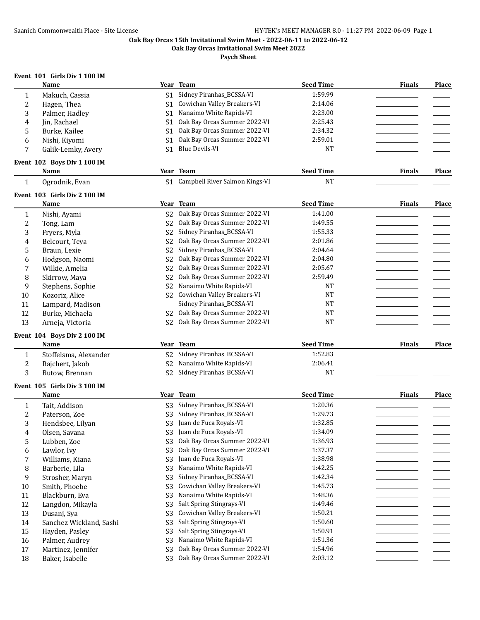**Oak Bay Orcas Invitational Swim Meet 2022**

**Psych Sheet**

# **Event 101 Girls Div 1 100 IM**

|                  | Name                         |                | Year Team                         | <b>Seed Time</b> | <b>Finals</b> | Place |
|------------------|------------------------------|----------------|-----------------------------------|------------------|---------------|-------|
| $\mathbf{1}$     | Makuch, Cassia               | S <sub>1</sub> | Sidney Piranhas_BCSSA-VI          | 1:59.99          |               |       |
| $\overline{c}$   | Hagen, Thea                  | S <sub>1</sub> | Cowichan Valley Breakers-VI       | 2:14.06          |               |       |
| 3                | Palmer, Hadley               | S <sub>1</sub> | Nanaimo White Rapids-VI           | 2:23.00          |               |       |
| 4                | Jin, Rachael                 | S <sub>1</sub> | Oak Bay Orcas Summer 2022-VI      | 2:25.43          |               |       |
| 5                | Burke, Kailee                | S <sub>1</sub> | Oak Bay Orcas Summer 2022-VI      | 2:34.32          |               |       |
| 6                | Nishi, Kiyomi                | S <sub>1</sub> | Oak Bay Orcas Summer 2022-VI      | 2:59.01          |               |       |
| 7                | Galik-Lemky, Avery           | S <sub>1</sub> | Blue Devils-VI                    | <b>NT</b>        |               |       |
|                  | Event 102 Boys Div 1 100 IM  |                |                                   |                  |               |       |
|                  | Name                         |                | Year Team                         | <b>Seed Time</b> | <b>Finals</b> | Place |
| 1                | Ogrodnik, Evan               |                | S1 Campbell River Salmon Kings-VI | <b>NT</b>        |               |       |
|                  | Event 103 Girls Div 2 100 IM |                |                                   |                  |               |       |
|                  | Name                         |                | Year Team                         | <b>Seed Time</b> | <b>Finals</b> | Place |
| 1                | Nishi, Ayami                 | S <sub>2</sub> | Oak Bay Orcas Summer 2022-VI      | 1:41.00          |               |       |
| 2                | Tong, Lam                    | S <sub>2</sub> | Oak Bay Orcas Summer 2022-VI      | 1:49.55          |               |       |
| 3                | Fryers, Myla                 | S <sub>2</sub> | Sidney Piranhas_BCSSA-VI          | 1:55.33          |               |       |
| 4                | Belcourt, Teya               | S <sub>2</sub> | Oak Bay Orcas Summer 2022-VI      | 2:01.86          |               |       |
| 5                | Braun, Lexie                 | S <sub>2</sub> | Sidney Piranhas_BCSSA-VI          | 2:04.64          |               |       |
| 6                | Hodgson, Naomi               | S <sub>2</sub> | Oak Bay Orcas Summer 2022-VI      | 2:04.80          |               |       |
| 7                | Wilkie, Amelia               | S <sub>2</sub> | Oak Bay Orcas Summer 2022-VI      | 2:05.67          |               |       |
| 8                | Skirrow, Maya                | S <sub>2</sub> | Oak Bay Orcas Summer 2022-VI      | 2:59.49          |               |       |
| 9                | Stephens, Sophie             | S <sub>2</sub> | Nanaimo White Rapids-VI           | NΤ               |               |       |
| 10               | Kozoriz, Alice               | S <sub>2</sub> | Cowichan Valley Breakers-VI       | <b>NT</b>        |               |       |
| 11               | Lampard, Madison             |                | Sidney Piranhas_BCSSA-VI          | <b>NT</b>        |               |       |
| 12               | Burke, Michaela              | S <sub>2</sub> | Oak Bay Orcas Summer 2022-VI      | <b>NT</b>        |               |       |
| 13               | Arneja, Victoria             | S <sub>2</sub> | Oak Bay Orcas Summer 2022-VI      | <b>NT</b>        |               |       |
|                  |                              |                |                                   |                  |               |       |
|                  | Event 104 Boys Div 2 100 IM  |                |                                   |                  |               |       |
|                  | Name                         |                | Year Team                         | <b>Seed Time</b> | <b>Finals</b> | Place |
| 1                | Stoffelsma, Alexander        | S <sub>2</sub> | Sidney Piranhas_BCSSA-VI          | 1:52.83          |               |       |
| $\boldsymbol{2}$ | Rajchert, Jakob              | S <sub>2</sub> | Nanaimo White Rapids-VI           | 2:06.41          |               |       |
| 3                | Butow, Brennan               | S <sub>2</sub> | Sidney Piranhas_BCSSA-VI          | <b>NT</b>        |               |       |
|                  | Event 105 Girls Div 3 100 IM |                |                                   |                  |               |       |
|                  | Name                         |                | Year Team                         | <b>Seed Time</b> | <b>Finals</b> | Place |
| 1                | Tait, Addison                | S <sub>3</sub> | Sidney Piranhas_BCSSA-VI          | 1:20.36          |               |       |
| $\boldsymbol{2}$ | Paterson, Zoe                | S <sub>3</sub> | Sidney Piranhas_BCSSA-VI          | 1:29.73          |               |       |
| 3                | Hendsbee, Lilyan             | S <sub>3</sub> | Juan de Fuca Royals-VI            | 1:32.85          |               |       |
| 4                | Olsen, Savana                |                | S3 Juan de Fuca Royals-VI         | 1:34.09          |               |       |
| 5                | Lubben, Zoe                  | S <sub>3</sub> | Oak Bay Orcas Summer 2022-VI      | 1:36.93          |               |       |
| 6                | Lawlor, Ivy                  | S <sub>3</sub> | Oak Bay Orcas Summer 2022-VI      | 1:37.37          |               |       |
| 7                | Williams, Kiana              | S <sub>3</sub> | Juan de Fuca Royals-VI            | 1:38.98          |               |       |
| 8                | Barberie, Lila               | S <sub>3</sub> | Nanaimo White Rapids-VI           | 1:42.25          |               |       |
| 9                | Strosher, Maryn              | S <sub>3</sub> | Sidney Piranhas_BCSSA-VI          | 1:42.34          |               |       |
| 10               | Smith, Phoebe                | S <sub>3</sub> | Cowichan Valley Breakers-VI       | 1:45.73          |               |       |
| 11               | Blackburn, Eva               | S <sub>3</sub> | Nanaimo White Rapids-VI           | 1:48.36          |               |       |
| 12               | Langdon, Mikayla             | S <sub>3</sub> | Salt Spring Stingrays-VI          | 1:49.46          |               |       |
| 13               | Dusanj, Sya                  | S <sub>3</sub> | Cowichan Valley Breakers-VI       | 1:50.21          |               |       |
| 14               | Sanchez Wickland, Sashi      | S <sub>3</sub> | Salt Spring Stingrays-VI          | 1:50.60          |               |       |
| 15               | Hayden, Pasley               | S <sub>3</sub> | Salt Spring Stingrays-VI          | 1:50.91          |               |       |
| 16               | Palmer, Audrey               | S <sub>3</sub> | Nanaimo White Rapids-VI           | 1:51.36          |               |       |
| 17               | Martinez, Jennifer           | S <sub>3</sub> | Oak Bay Orcas Summer 2022-VI      | 1:54.96          |               |       |
| $18\,$           | Baker, Isabelle              | S <sub>3</sub> | Oak Bay Orcas Summer 2022-VI      | 2:03.12          |               |       |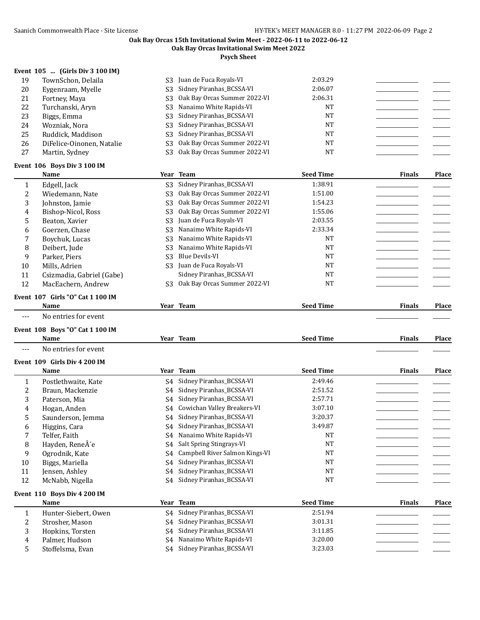**Oak Bay Orcas Invitational Swim Meet 2022**

**Psych Sheet**

## **Event 105 ... (Girls Div 3 100 IM)**

| 19  | TownSchon, Delaila        | S3 Juan de Fuca Royals-VI       | 2:03.29 |  |
|-----|---------------------------|---------------------------------|---------|--|
| 20  | Eygenraam, Myelle         | S3 Sidney Piranhas_BCSSA-VI     | 2:06.07 |  |
| 21  | Fortney, Maya             | S3 Oak Bay Orcas Summer 2022-VI | 2:06.31 |  |
| 22  | Turchanski, Aryn          | S3 Nanaimo White Rapids-VI      | NT      |  |
| 23. | Biggs, Emma               | S3 Sidney Piranhas BCSSA-VI     | NT      |  |
| 24  | Wozniak, Nora             | S3 Sidney Piranhas_BCSSA-VI     | NT      |  |
| 25  | Ruddick, Maddison         | S3 Sidney Piranhas_BCSSA-VI     | NT      |  |
| 26  | DiFelice-Oinonen, Natalie | S3 Oak Bay Orcas Summer 2022-VI | NT      |  |
| 27  | Martin, Sydney            | S3 Oak Bay Orcas Summer 2022-VI | NT      |  |

#### **Event 106 Boys Div 3 100 IM**

 $\overline{\phantom{0}}$ 

| Name                      |     |                              |                                                                                                                                                                                                                      | <b>Finals</b>    | Place |
|---------------------------|-----|------------------------------|----------------------------------------------------------------------------------------------------------------------------------------------------------------------------------------------------------------------|------------------|-------|
| Edgell, Jack              |     | Sidney Piranhas BCSSA-VI     | 1:38.91                                                                                                                                                                                                              |                  |       |
| Wiedemann, Nate           |     | Oak Bay Orcas Summer 2022-VI | 1:51.00                                                                                                                                                                                                              |                  |       |
| Johnston, Jamie           |     |                              | 1:54.23                                                                                                                                                                                                              |                  |       |
| Bishop-Nicol, Ross        |     | Oak Bay Orcas Summer 2022-VI | 1:55.06                                                                                                                                                                                                              |                  |       |
| Beaton, Xavier            |     |                              | 2:03.55                                                                                                                                                                                                              |                  |       |
| Goerzen, Chase            |     |                              | 2:33.34                                                                                                                                                                                                              |                  |       |
| Boychuk, Lucas            |     | Nanaimo White Rapids-VI      | <b>NT</b>                                                                                                                                                                                                            |                  |       |
| Deibert. Jude             |     |                              | <b>NT</b>                                                                                                                                                                                                            |                  |       |
| Parker, Piers             | S3. | Blue Devils-VI               | <b>NT</b>                                                                                                                                                                                                            |                  |       |
| Mills. Adrien             |     |                              | <b>NT</b>                                                                                                                                                                                                            |                  |       |
| Csizmadia, Gabriel (Gabe) |     | Sidney Piranhas BCSSA-VI     | <b>NT</b>                                                                                                                                                                                                            |                  |       |
| MacEachern, Andrew        | S3  | Oak Bay Orcas Summer 2022-VI | <b>NT</b>                                                                                                                                                                                                            |                  |       |
|                           |     |                              | Year Team<br>S3<br>S3.<br>S3 Oak Bay Orcas Summer 2022-VI<br>S <sub>3</sub><br>S <sub>3</sub> Juan de Fuca Royals-VI<br>S3 Nanaimo White Rapids-VI<br>S3.<br>S3 Nanaimo White Rapids-VI<br>S3 Juan de Fuca Royals-VI | <b>Seed Time</b> |       |

## **Event 107 Girls "O" Cat 1 100 IM**

| Name                              | Team<br>Year | <b>Seed Time</b> | --<br>∀mals | <b>Place</b> |
|-----------------------------------|--------------|------------------|-------------|--------------|
| $\mathbf{M}$ o antuica fou arrant |              |                  |             |              |

--- No entries for event

# **Event 108 Boys "O" Cat 1 100 IM**

|     | <b>Name</b>                  |    | Year Team                      | <b>Seed Time</b> | <b>Finals</b> | Place        |
|-----|------------------------------|----|--------------------------------|------------------|---------------|--------------|
| --- | No entries for event         |    |                                |                  |               |              |
|     | Event 109 Girls Div 4 200 IM |    |                                |                  |               |              |
|     | Name                         |    | Year Team                      | <b>Seed Time</b> | <b>Finals</b> | Place        |
| 1   | Postlethwaite, Kate          | S4 | Sidney Piranhas_BCSSA-VI       | 2:49.46          |               |              |
| 2   | Braun, Mackenzie             | S4 | Sidney Piranhas_BCSSA-VI       | 2:51.52          |               |              |
| 3   | Paterson, Mia                | S4 | Sidney Piranhas_BCSSA-VI       | 2:57.71          |               |              |
| 4   | Hogan, Anden                 | S4 | Cowichan Valley Breakers-VI    | 3:07.10          |               |              |
| 5   | Saunderson, Jemma            | S4 | Sidney Piranhas_BCSSA-VI       | 3:20.37          |               |              |
| 6   | Higgins, Cara                | S4 | Sidney Piranhas_BCSSA-VI       | 3:49.87          |               |              |
|     | Telfer, Faith                | S4 | Nanaimo White Rapids-VI        | <b>NT</b>        |               |              |
| 8   | Hayden, ReneÂ'e              | S4 | Salt Spring Stingrays-VI       | <b>NT</b>        |               |              |
| 9   | Ogrodnik, Kate               | S4 | Campbell River Salmon Kings-VI | <b>NT</b>        |               |              |
| 10  | Biggs, Mariella              | S4 | Sidney Piranhas_BCSSA-VI       | <b>NT</b>        |               |              |
| 11  | Jensen, Ashley               | S4 | Sidney Piranhas_BCSSA-VI       | <b>NT</b>        |               |              |
| 12  | McNabb, Nigella              | S4 | Sidney Piranhas_BCSSA-VI       | <b>NT</b>        |               |              |
|     | Event 110 Boys Div 4 200 IM  |    |                                |                  |               |              |
|     | Name                         |    | Year Team                      | <b>Seed Time</b> | <b>Finals</b> | <b>Place</b> |
| 1   | Hunter-Siebert, Owen         | S4 | Sidney Piranhas_BCSSA-VI       | 2:51.94          |               |              |
| 2   | Strosher, Mason              | S4 | Sidney Piranhas_BCSSA-VI       | 3:01.31          |               |              |
| 3   | Hopkins, Torsten             | S4 | Sidney Piranhas_BCSSA-VI       | 3:11.85          |               |              |

4 Palmer, Hudson S4 Nanaimo White Rapids-VI 3:20.00<br>5 Stoffelsma Evan S4 Sidney Piranhas BCSSA-VI 3:23.03

5 Stoffelsma, Evan S4 Sidney Piranhas\_BCSSA-VI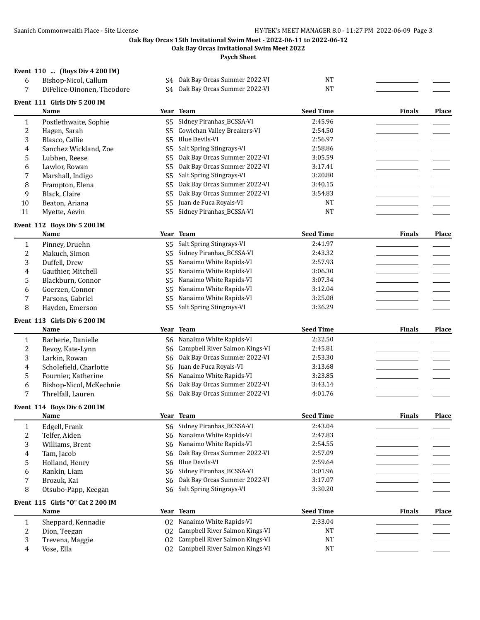**Oak Bay Orcas Invitational Swim Meet 2022**

**Psych Sheet**

#### **Event 110 ... (Boys Div 4 200 IM)**

| 6            | Bishop-Nicol, Callum             |                | S4 Oak Bay Orcas Summer 2022-VI | <b>NT</b>        |               |              |
|--------------|----------------------------------|----------------|---------------------------------|------------------|---------------|--------------|
| 7            | DiFelice-Oinonen, Theodore       |                | S4 Oak Bay Orcas Summer 2022-VI | <b>NT</b>        |               |              |
|              | Event 111 Girls Div 5 200 IM     |                |                                 |                  |               |              |
|              | Name                             | Year           | <b>Team</b>                     | <b>Seed Time</b> | <b>Finals</b> | Place        |
| 1            | Postlethwaite, Sophie            | S <sub>5</sub> | Sidney Piranhas_BCSSA-VI        | 2:45.96          |               |              |
| 2            | Hagen, Sarah                     | S <sub>5</sub> | Cowichan Valley Breakers-VI     | 2:54.50          |               |              |
| 3            | Blasco, Callie                   | S <sub>5</sub> | <b>Blue Devils-VI</b>           | 2:56.97          |               |              |
| 4            | Sanchez Wickland, Zoe            | S <sub>5</sub> | Salt Spring Stingrays-VI        | 2:58.86          |               |              |
| 5            | Lubben, Reese                    | S <sub>5</sub> | Oak Bay Orcas Summer 2022-VI    | 3:05.59          |               |              |
| 6            | Lawlor, Rowan                    | S <sub>5</sub> | Oak Bay Orcas Summer 2022-VI    | 3:17.41          |               |              |
| 7            | Marshall, Indigo                 | S <sub>5</sub> | Salt Spring Stingrays-VI        | 3:20.80          |               |              |
| 8            | Frampton, Elena                  | S <sub>5</sub> | Oak Bay Orcas Summer 2022-VI    | 3:40.15          |               |              |
| 9            | Black, Claire                    | S5             | Oak Bay Orcas Summer 2022-VI    | 3:54.83          |               |              |
| 10           | Beaton, Ariana                   | S <sub>5</sub> | Juan de Fuca Royals-VI          | <b>NT</b>        |               |              |
| 11           | Myette, Aevin                    | S <sub>5</sub> | Sidney Piranhas_BCSSA-VI        | <b>NT</b>        |               |              |
|              | Event 112 Boys Div 5 200 IM      |                |                                 |                  |               |              |
|              | Name                             |                | Year Team                       | <b>Seed Time</b> | <b>Finals</b> | Place        |
| $\mathbf{1}$ | Pinney, Druehn                   | S5             | Salt Spring Stingrays-VI        | 2:41.97          |               |              |
| 2            | Makuch, Simon                    | S <sub>5</sub> | Sidney Piranhas_BCSSA-VI        | 2:43.32          |               |              |
| 3            | Duffell, Drew                    | S <sub>5</sub> | Nanaimo White Rapids-VI         | 2:57.93          |               |              |
| 4            | Gauthier, Mitchell               | S <sub>5</sub> | Nanaimo White Rapids-VI         | 3:06.30          |               |              |
| 5            | Blackburn, Connor                | S <sub>5</sub> | Nanaimo White Rapids-VI         | 3:07.34          |               |              |
| 6            | Goerzen, Connor                  | S <sub>5</sub> | Nanaimo White Rapids-VI         | 3:12.04          |               |              |
| 7            | Parsons, Gabriel                 | S <sub>5</sub> | Nanaimo White Rapids-VI         | 3:25.08          |               |              |
| 8            | Hayden, Emerson                  | S <sub>5</sub> | Salt Spring Stingrays-VI        | 3:36.29          |               |              |
|              | Event 113 Girls Div 6 200 IM     |                |                                 |                  |               |              |
|              | Name                             |                | Year Team                       | <b>Seed Time</b> | <b>Finals</b> | <b>Place</b> |
| 1            | Barberie, Danielle               |                | S6 Nanaimo White Rapids-VI      | 2:32.50          |               |              |
| 2            | Revoy, Kate-Lynn                 | S6             | Campbell River Salmon Kings-VI  | 2:45.81          |               |              |
| 3            | Larkin, Rowan                    | S <sub>6</sub> | Oak Bay Orcas Summer 2022-VI    | 2:53.30          |               |              |
| 4            | Scholefield, Charlotte           | S6             | Juan de Fuca Royals-VI          | 3:13.68          |               |              |
| 5            | Fournier, Katherine              | S <sub>6</sub> | Nanaimo White Rapids-VI         | 3:23.85          |               |              |
| 6            | Bishop-Nicol, McKechnie          | S6             | Oak Bay Orcas Summer 2022-VI    | 3:43.14          |               |              |
| 7            | Threlfall, Lauren                | S <sub>6</sub> | Oak Bay Orcas Summer 2022-VI    | 4:01.76          |               |              |
|              | Event 114 Boys Div 6 200 IM      |                |                                 |                  |               |              |
|              | <b>Name</b>                      |                | Year Team                       | <b>Seed Time</b> | <b>Finals</b> | <b>Place</b> |
|              | Edgell, Frank                    |                | S6 Sidney Piranhas_BCSSA-VI     | 2:43.04          |               |              |
| 2            | Telfer, Aiden                    |                | S6 Nanaimo White Rapids-VI      | 2:47.83          |               |              |
| 3            | Williams, Brent                  | S6             | Nanaimo White Rapids-VI         | 2:54.55          |               |              |
| 4            | Tam, Jacob                       | S <sub>6</sub> | Oak Bay Orcas Summer 2022-VI    | 2:57.09          |               |              |
| 5            | Holland, Henry                   | S <sub>6</sub> | <b>Blue Devils-VI</b>           | 2:59.64          |               |              |
| 6            | Rankin, Liam                     | S6             | Sidney Piranhas_BCSSA-VI        | 3:01.96          |               |              |
| 7            | Brozuk, Kai                      | S6             | Oak Bay Orcas Summer 2022-VI    | 3:17.07          |               |              |
| 8            | Otsubo-Papp, Keegan              | S6             | Salt Spring Stingrays-VI        | 3:30.20          |               |              |
|              | Event 115 Girls "O" Cat 2 200 IM |                |                                 |                  |               |              |
|              | Name                             |                | Year Team                       | <b>Seed Time</b> | <b>Finals</b> | Place        |
| $\mathbf{1}$ | Sheppard, Kennadie               | 02             | Nanaimo White Rapids-VI         | 2:33.04          |               |              |
| 2            | Dion, Teegan                     | 02             | Campbell River Salmon Kings-VI  | NT               |               |              |
| 3            | Trevena, Maggie                  | 02             | Campbell River Salmon Kings-VI  | <b>NT</b>        |               |              |
| 4            | Vose, Ella                       | 02             | Campbell River Salmon Kings-VI  | <b>NT</b>        |               |              |
|              |                                  |                |                                 |                  |               |              |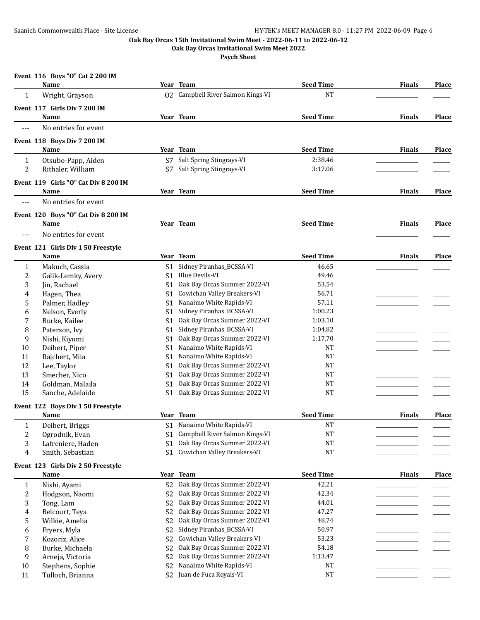**Oak Bay Orcas Invitational Swim Meet 2022**

|                | Event 116 Boys "O" Cat 2 200 IM      |                |                                   |                  |               |              |
|----------------|--------------------------------------|----------------|-----------------------------------|------------------|---------------|--------------|
|                | Name                                 |                | Year Team                         | <b>Seed Time</b> | Finals        | <b>Place</b> |
| $\mathbf{1}$   | Wright, Grayson                      |                | 02 Campbell River Salmon Kings-VI | <b>NT</b>        |               |              |
|                | Event 117 Girls Div 7 200 IM         |                |                                   |                  |               |              |
|                | Name                                 |                | Year Team                         | <b>Seed Time</b> | <b>Finals</b> | Place        |
| $---$          | No entries for event                 |                |                                   |                  |               |              |
|                | Event 118 Boys Div 7 200 IM          |                |                                   |                  |               |              |
|                | Name                                 |                | Year Team                         | <b>Seed Time</b> | <b>Finals</b> | Place        |
| $\mathbf{1}$   | Otsubo-Papp, Aiden                   | S7             | Salt Spring Stingrays-VI          | 2:38.46          |               |              |
| 2              | Rithaler, William                    | S7             | Salt Spring Stingrays-VI          | 3:17.06          |               |              |
|                | Event 119 Girls "O" Cat Div 8 200 IM |                |                                   |                  |               |              |
|                | Name                                 |                | Year Team                         | <b>Seed Time</b> | <b>Finals</b> | <b>Place</b> |
| $---$          | No entries for event                 |                |                                   |                  |               |              |
|                | Event 120 Boys "O" Cat Div 8 200 IM  |                |                                   |                  |               |              |
|                | Name                                 |                | Year Team                         | <b>Seed Time</b> | <b>Finals</b> | <b>Place</b> |
| ---            | No entries for event                 |                |                                   |                  |               |              |
|                | Event 121 Girls Div 1 50 Freestyle   |                |                                   |                  |               |              |
|                | Name                                 |                | Year Team                         | <b>Seed Time</b> | <b>Finals</b> | <b>Place</b> |
| 1              | Makuch, Cassia                       |                | S1 Sidney Piranhas_BCSSA-VI       | 46.65            |               |              |
| 2              | Galik-Lemky, Avery                   | S1             | <b>Blue Devils-VI</b>             | 49.46            |               |              |
| 3              | Jin, Rachael                         | S1             | Oak Bay Orcas Summer 2022-VI      | 53.54            |               |              |
| 4              | Hagen, Thea                          | S <sub>1</sub> | Cowichan Valley Breakers-VI       | 56.71            |               |              |
| 5              | Palmer, Hadley                       | S <sub>1</sub> | Nanaimo White Rapids-VI           | 57.11            |               |              |
| 6              | Nelson, Everly                       | S1             | Sidney Piranhas_BCSSA-VI          | 1:00.23          |               |              |
| 7              | Burke, Kailee                        | S1             | Oak Bay Orcas Summer 2022-VI      | 1:03.10          |               |              |
| 8              | Paterson, Ivy                        | S <sub>1</sub> | Sidney Piranhas_BCSSA-VI          | 1:04.82          |               |              |
| 9              | Nishi, Kiyomi                        | S <sub>1</sub> | Oak Bay Orcas Summer 2022-VI      | 1:17.70          |               |              |
| 10             | Deibert, Piper                       | S <sub>1</sub> | Nanaimo White Rapids-VI           | <b>NT</b>        |               |              |
| 11             | Rajchert, Miia                       | S1             | Nanaimo White Rapids-VI           | <b>NT</b>        |               |              |
| 12             | Lee, Taylor                          | S1             | Oak Bay Orcas Summer 2022-VI      | <b>NT</b>        |               |              |
| 13             | Smecher, Nico                        | S <sub>1</sub> | Oak Bay Orcas Summer 2022-VI      | <b>NT</b>        |               |              |
| 14             | Goldman, Malaila                     | S <sub>1</sub> | Oak Bay Orcas Summer 2022-VI      | <b>NT</b>        |               |              |
| 15             | Sanche, Adelaide                     | S <sub>1</sub> | Oak Bay Orcas Summer 2022-VI      | <b>NT</b>        |               |              |
|                | Event 122 Boys Div 1 50 Freestyle    |                |                                   |                  |               |              |
|                | Name                                 |                | Year Team                         | <b>Seed Time</b> | <b>Finals</b> | Place        |
| 1              | Deibert, Briggs                      |                | S1 Nanaimo White Rapids-VI        | <b>NT</b>        |               |              |
| $\overline{c}$ | Ogrodnik, Evan                       | S <sub>1</sub> | Campbell River Salmon Kings-VI    | <b>NT</b>        |               |              |
| 3              | Lafreniere, Haden                    | S <sub>1</sub> | Oak Bay Orcas Summer 2022-VI      | <b>NT</b>        |               |              |
| 4              | Smith, Sebastian                     | S <sub>1</sub> | Cowichan Valley Breakers-VI       | <b>NT</b>        |               |              |
|                | Event 123 Girls Div 2 50 Freestyle   |                |                                   |                  |               |              |
|                | Name                                 |                | Year Team                         | <b>Seed Time</b> | <b>Finals</b> | Place        |
| $\mathbf{1}$   | Nishi, Ayami                         | S <sub>2</sub> | Oak Bay Orcas Summer 2022-VI      | 42.21            |               |              |
| 2              | Hodgson, Naomi                       | S <sub>2</sub> | Oak Bay Orcas Summer 2022-VI      | 42.34            |               |              |
| 3              | Tong, Lam                            | S <sub>2</sub> | Oak Bay Orcas Summer 2022-VI      | 44.01            |               |              |
| 4              | Belcourt, Teya                       | S <sub>2</sub> | Oak Bay Orcas Summer 2022-VI      | 47.27            |               |              |
| 5              | Wilkie, Amelia                       | S <sub>2</sub> | Oak Bay Orcas Summer 2022-VI      | 48.74            |               |              |
| 6              | Fryers, Myla                         | S <sub>2</sub> | Sidney Piranhas_BCSSA-VI          | 50.97            |               |              |
| 7              | Kozoriz, Alice                       | S <sub>2</sub> | Cowichan Valley Breakers-VI       | 53.23            |               |              |
| 8              | Burke, Michaela                      | S <sub>2</sub> | Oak Bay Orcas Summer 2022-VI      | 54.18            |               |              |
| 9              | Arneja, Victoria                     | S <sub>2</sub> | Oak Bay Orcas Summer 2022-VI      | 1:13.47          |               |              |
| 10             | Stephens, Sophie                     | S <sub>2</sub> | Nanaimo White Rapids-VI           | <b>NT</b>        |               |              |
| 11             | Tulloch, Brianna                     |                | S2 Juan de Fuca Royals-VI         | <b>NT</b>        |               |              |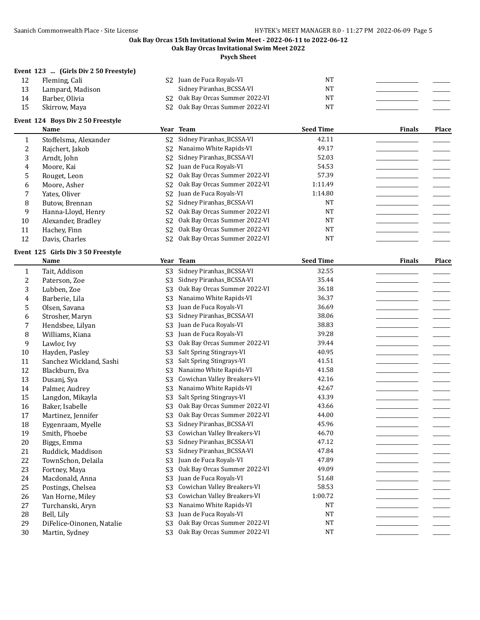**Oak Bay Orcas Invitational Swim Meet 2022**

**Psych Sheet**

## **Event 123 ... (Girls Div 2 50 Freestyle)**

| 12 | Fleming, Cali       | S <sub>2</sub> Juan de Fuca Royals-VI       | NT |  |
|----|---------------------|---------------------------------------------|----|--|
|    | 13 Lampard, Madison | Sidney Piranhas BCSSA-VI                    | NΤ |  |
| 14 | Barber, Olivia      | S <sub>2</sub> Oak Bay Orcas Summer 2022-VI | NT |  |
| 15 | Skirrow, Maya       | S <sub>2</sub> Oak Bay Orcas Summer 2022-VI | NT |  |

## **Event 124 Boys Div 2 50 Freestyle**

|    | <b>Name</b>           |                | Year Team                       | <b>Seed Time</b> | <b>Finals</b> | Place |
|----|-----------------------|----------------|---------------------------------|------------------|---------------|-------|
|    | Stoffelsma, Alexander | S <sub>2</sub> | Sidney Piranhas_BCSSA-VI        | 42.11            |               |       |
|    | Rajchert, Jakob       | S2             | Nanaimo White Rapids-VI         | 49.17            |               |       |
| 3  | Arndt, John           | S2             | Sidney Piranhas_BCSSA-VI        | 52.03            |               |       |
| 4  | Moore, Kai            | S <sub>2</sub> | Juan de Fuca Royals-VI          | 54.53            |               |       |
| 5  | Rouget, Leon          | S <sub>2</sub> | Oak Bay Orcas Summer 2022-VI    | 57.39            |               |       |
| 6  | Moore, Asher          | S2             | Oak Bay Orcas Summer 2022-VI    | 1:11.49          |               |       |
|    | Yates, Oliver         | S <sub>2</sub> | Juan de Fuca Royals-VI          | 1:14.80          |               |       |
| 8  | Butow, Brennan        | S <sub>2</sub> | Sidney Piranhas_BCSSA-VI        | <b>NT</b>        |               |       |
| 9  | Hanna-Lloyd, Henry    | S <sub>2</sub> | Oak Bay Orcas Summer 2022-VI    | <b>NT</b>        |               |       |
| 10 | Alexander, Bradley    | S2             | Oak Bay Orcas Summer 2022-VI    | <b>NT</b>        |               |       |
| 11 | Hachey, Finn          | S2             | Oak Bay Orcas Summer 2022-VI    | <b>NT</b>        |               |       |
| 12 | Davis, Charles        |                | S2 Oak Bay Orcas Summer 2022-VI | <b>NT</b>        |               |       |

#### **Event 125 Girls Div 3 50 Freestyle**

|    | <b>Name</b>               |                | Year Team                    | <b>Seed Time</b> | <b>Finals</b> | Place |
|----|---------------------------|----------------|------------------------------|------------------|---------------|-------|
| 1  | Tait, Addison             | S <sub>3</sub> | Sidney Piranhas_BCSSA-VI     | 32.55            |               |       |
| 2  | Paterson, Zoe             | S <sub>3</sub> | Sidney Piranhas_BCSSA-VI     | 35.44            |               |       |
| 3  | Lubben, Zoe               | S <sub>3</sub> | Oak Bay Orcas Summer 2022-VI | 36.18            |               |       |
| 4  | Barberie, Lila            | S <sub>3</sub> | Nanaimo White Rapids-VI      | 36.37            |               |       |
| 5  | Olsen, Savana             | S <sub>3</sub> | Juan de Fuca Royals-VI       | 36.69            |               |       |
| 6  | Strosher, Maryn           | S <sub>3</sub> | Sidney Piranhas_BCSSA-VI     | 38.06            |               |       |
| 7  | Hendsbee, Lilyan          | S3             | Juan de Fuca Royals-VI       | 38.83            |               |       |
| 8  | Williams, Kiana           | S <sub>3</sub> | Juan de Fuca Royals-VI       | 39.28            |               |       |
| 9  | Lawlor, Ivy               | S <sub>3</sub> | Oak Bay Orcas Summer 2022-VI | 39.44            |               |       |
| 10 | Hayden, Pasley            | S3             | Salt Spring Stingrays-VI     | 40.95            |               |       |
| 11 | Sanchez Wickland, Sashi   | S3             | Salt Spring Stingrays-VI     | 41.51            |               |       |
| 12 | Blackburn, Eva            | S <sub>3</sub> | Nanaimo White Rapids-VI      | 41.58            |               |       |
| 13 | Dusanj, Sya               | S3             | Cowichan Valley Breakers-VI  | 42.16            |               |       |
| 14 | Palmer, Audrey            | S <sub>3</sub> | Nanaimo White Rapids-VI      | 42.67            |               |       |
| 15 | Langdon, Mikayla          | S <sub>3</sub> | Salt Spring Stingrays-VI     | 43.39            |               |       |
| 16 | Baker, Isabelle           | S3             | Oak Bay Orcas Summer 2022-VI | 43.66            |               |       |
| 17 | Martinez, Jennifer        | S <sub>3</sub> | Oak Bay Orcas Summer 2022-VI | 44.00            |               |       |
| 18 | Eygenraam, Myelle         | S <sub>3</sub> | Sidney Piranhas_BCSSA-VI     | 45.96            |               |       |
| 19 | Smith, Phoebe             | S <sub>3</sub> | Cowichan Valley Breakers-VI  | 46.70            |               |       |
| 20 | Biggs, Emma               | S <sub>3</sub> | Sidney Piranhas_BCSSA-VI     | 47.12            |               |       |
| 21 | Ruddick, Maddison         | S3             | Sidney Piranhas_BCSSA-VI     | 47.84            |               |       |
| 22 | TownSchon, Delaila        | S3             | Juan de Fuca Royals-VI       | 47.89            |               |       |
| 23 | Fortney, Maya             | S3             | Oak Bay Orcas Summer 2022-VI | 49.09            |               |       |
| 24 | Macdonald, Anna           | S <sub>3</sub> | Juan de Fuca Royals-VI       | 51.68            |               |       |
| 25 | Postings, Chelsea         | S <sub>3</sub> | Cowichan Valley Breakers-VI  | 58.53            |               |       |
| 26 | Van Horne, Miley          | S <sub>3</sub> | Cowichan Valley Breakers-VI  | 1:00.72          |               |       |
| 27 | Turchanski, Aryn          | S <sub>3</sub> | Nanaimo White Rapids-VI      | <b>NT</b>        |               |       |
| 28 | Bell, Lily                | S3             | Juan de Fuca Royals-VI       | <b>NT</b>        |               |       |
| 29 | DiFelice-Oinonen, Natalie | S <sub>3</sub> | Oak Bay Orcas Summer 2022-VI | <b>NT</b>        |               |       |
| 30 | Martin, Sydney            | S <sub>3</sub> | Oak Bay Orcas Summer 2022-VI | <b>NT</b>        |               |       |
|    |                           |                |                              |                  |               |       |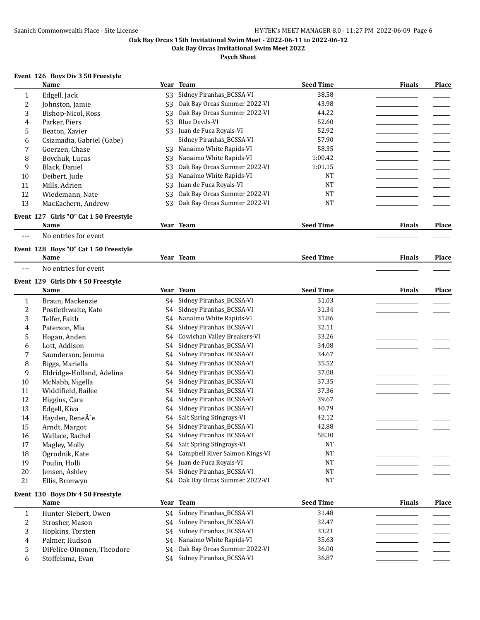**Oak Bay Orcas Invitational Swim Meet 2022**

**Psych Sheet**

## **Event 126 Boys Div 3 50 Freestyle**

|                  | <b>Name</b>                                    |                | Year Team                      | <b>Seed Time</b> | <b>Finals</b> | <b>Place</b> |
|------------------|------------------------------------------------|----------------|--------------------------------|------------------|---------------|--------------|
| $\mathbf{1}$     | Edgell, Jack                                   | S3             | Sidney Piranhas_BCSSA-VI       | 38.58            |               |              |
| $\boldsymbol{2}$ | Johnston, Jamie                                | S <sub>3</sub> | Oak Bay Orcas Summer 2022-VI   | 43.98            |               |              |
| 3                | Bishop-Nicol, Ross                             | S <sub>3</sub> | Oak Bay Orcas Summer 2022-VI   | 44.22            |               |              |
| $\pmb{4}$        | Parker, Piers                                  | S <sub>3</sub> | <b>Blue Devils-VI</b>          | 52.60            |               |              |
| 5                | Beaton, Xavier                                 | S <sub>3</sub> | Juan de Fuca Royals-VI         | 52.92            |               |              |
| 6                | Csizmadia, Gabriel (Gabe)                      |                | Sidney Piranhas_BCSSA-VI       | 57.90            |               |              |
| $\boldsymbol{7}$ | Goerzen, Chase                                 | S <sub>3</sub> | Nanaimo White Rapids-VI        | 58.35            |               |              |
| 8                | Boychuk, Lucas                                 | S <sub>3</sub> | Nanaimo White Rapids-VI        | 1:00.42          |               |              |
| 9                | Black, Daniel                                  | S <sub>3</sub> | Oak Bay Orcas Summer 2022-VI   | 1:01.15          |               |              |
| $10\,$           | Deibert, Jude                                  | S <sub>3</sub> | Nanaimo White Rapids-VI        | <b>NT</b>        |               |              |
| 11               | Mills, Adrien                                  | S <sub>3</sub> | Juan de Fuca Royals-VI         | <b>NT</b>        |               |              |
| 12               | Wiedemann, Nate                                | S <sub>3</sub> | Oak Bay Orcas Summer 2022-VI   | <b>NT</b>        |               |              |
| 13               | MacEachern, Andrew                             | S <sub>3</sub> | Oak Bay Orcas Summer 2022-VI   | <b>NT</b>        |               |              |
|                  |                                                |                |                                |                  |               |              |
|                  | Event 127 Girls "O" Cat 1 50 Freestyle<br>Name |                | Year Team                      | <b>Seed Time</b> | <b>Finals</b> | <b>Place</b> |
| $---$            | No entries for event                           |                |                                |                  |               |              |
|                  |                                                |                |                                |                  |               |              |
|                  | Event 128 Boys "O" Cat 1 50 Freestyle          |                |                                |                  |               |              |
|                  | Name                                           |                | Year Team                      | <b>Seed Time</b> | <b>Finals</b> | Place        |
| $---$            | No entries for event                           |                |                                |                  |               |              |
|                  | Event 129 Girls Div 4 50 Freestyle             |                |                                |                  |               |              |
|                  | Name                                           |                | Year Team                      | <b>Seed Time</b> | <b>Finals</b> | Place        |
| $\mathbf{1}$     | Braun, Mackenzie                               | S4             | Sidney Piranhas_BCSSA-VI       | 31.03            |               |              |
| $\boldsymbol{2}$ | Postlethwaite, Kate                            | S4             | Sidney Piranhas_BCSSA-VI       | 31.34            |               |              |
| 3                | Telfer, Faith                                  | S4             | Nanaimo White Rapids-VI        | 31.86            |               |              |
| $\pmb{4}$        | Paterson, Mia                                  | S4             | Sidney Piranhas_BCSSA-VI       | 32.11            |               |              |
| 5                | Hogan, Anden                                   | S4             | Cowichan Valley Breakers-VI    | 33.26            |               |              |
| 6                | Lott, Addison                                  | S4             | Sidney Piranhas_BCSSA-VI       | 34.08            |               |              |
| 7                | Saunderson, Jemma                              | S4             | Sidney Piranhas_BCSSA-VI       | 34.67            |               |              |
| 8                | Biggs, Mariella                                | S4             | Sidney Piranhas_BCSSA-VI       | 35.52            |               |              |
| 9                | Eldridge-Holland, Adelina                      | S4             | Sidney Piranhas_BCSSA-VI       | 37.08            |               |              |
| $10\,$           | McNabb, Nigella                                | S4             | Sidney Piranhas_BCSSA-VI       | 37.35            |               |              |
| 11               | Widdifield, Bailee                             | S4             | Sidney Piranhas_BCSSA-VI       | 37.36            |               |              |
| 12               | Higgins, Cara                                  | S4             | Sidney Piranhas_BCSSA-VI       | 39.67            |               |              |
| 13               | Edgell, Kiva                                   | S4             | Sidney Piranhas_BCSSA-VI       | 40.79            |               |              |
| 14               | Hayden, ReneÂ'e                                | S4             | Salt Spring Stingrays-VI       | 42.12            |               |              |
| 15               | Arndt, Margot                                  |                | S4 Sidney Piranhas_BCSSA-VI    | 42.88            |               |              |
| 16               | Wallace, Rachel                                | S4             | Sidney Piranhas_BCSSA-VI       | 58.30            |               |              |
| 17               | Magley, Molly                                  | S4             | Salt Spring Stingrays-VI       | $_{\rm NT}$      |               |              |
| 18               | Ogrodnik, Kate                                 | S4             | Campbell River Salmon Kings-VI | NT               |               |              |
| 19               | Poulin, Holli                                  | S4             | Juan de Fuca Royals-VI         | $\rm{NT}$        |               |              |
| $20\,$           | Jensen, Ashley                                 | S4             | Sidney Piranhas_BCSSA-VI       | $_{\rm NT}$      |               |              |
| 21               | Ellis, Bronwyn                                 | S4             | Oak Bay Orcas Summer 2022-VI   | NT               |               |              |
|                  | Event 130 Boys Div 4 50 Freestyle              |                |                                |                  |               |              |
|                  | Name                                           |                | Year Team                      | <b>Seed Time</b> | <b>Finals</b> | Place        |
| $\mathbf{1}$     | Hunter-Siebert, Owen                           | S4             | Sidney Piranhas_BCSSA-VI       | 31.48            |               |              |
| $\boldsymbol{2}$ | Strosher, Mason                                | S4             | Sidney Piranhas_BCSSA-VI       | 32.47            |               |              |
| 3                | Hopkins, Torsten                               | S4             | Sidney Piranhas_BCSSA-VI       | 33.21            |               |              |
| $\pmb{4}$        | Palmer, Hudson                                 | S4             | Nanaimo White Rapids-VI        | 35.63            |               |              |
| 5                | DiFelice-Oinonen, Theodore                     | S4             | Oak Bay Orcas Summer 2022-VI   | 36.00            |               |              |
| 6                | Stoffelsma, Evan                               |                | S4 Sidney Piranhas_BCSSA-VI    | 36.87            |               |              |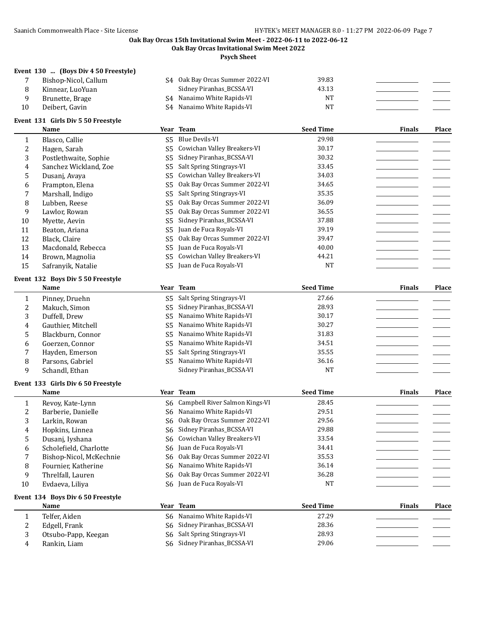**Oak Bay Orcas Invitational Swim Meet 2022**

**Psych Sheet**

## **Event 130 ... (Boys Div 4 50 Freestyle)**

|   | Bishop-Nicol, Callum | S4 Oak Bay Orcas Summer 2022-VI | 39.83 |  |
|---|----------------------|---------------------------------|-------|--|
| 8 | Kinnear, LuoYuan     | Sidney Piranhas_BCSSA-VI        | 43.13 |  |
|   | Brunette, Brage      | S4 Nanaimo White Rapids-VI      | NΊ    |  |
|   | Deibert, Gavin       | S4 Nanaimo White Rapids-VI      | NΊ    |  |

## **Event 131 Girls Div 5 50 Freestyle**

| Blasco, Callie<br>Hagen, Sarah | S5. | Blue Devils-VI               |                                                            |  |
|--------------------------------|-----|------------------------------|------------------------------------------------------------|--|
|                                |     |                              | 29.98                                                      |  |
|                                | S5  | Cowichan Valley Breakers-VI  | 30.17                                                      |  |
| Postlethwaite, Sophie          | S5  | Sidney Piranhas_BCSSA-VI     | 30.32                                                      |  |
| Sanchez Wickland, Zoe          | S5. | Salt Spring Stingrays-VI     | 33.45                                                      |  |
| Dusani, Avava                  | S5  | Cowichan Valley Breakers-VI  | 34.03                                                      |  |
| Frampton, Elena                | S5. | Oak Bay Orcas Summer 2022-VI | 34.65                                                      |  |
| Marshall, Indigo               | S5. | Salt Spring Stingrays-VI     | 35.35                                                      |  |
| Lubben, Reese                  | S5  | Oak Bay Orcas Summer 2022-VI | 36.09                                                      |  |
| Lawlor, Rowan                  | S5  | Oak Bay Orcas Summer 2022-VI | 36.55                                                      |  |
| Myette, Aevin                  | S5  | Sidney Piranhas BCSSA-VI     | 37.88                                                      |  |
| Beaton, Ariana                 | S5  | Juan de Fuca Royals-VI       | 39.19                                                      |  |
| Black, Claire                  | S5. | Oak Bay Orcas Summer 2022-VI | 39.47                                                      |  |
| Macdonald, Rebecca             |     |                              | 40.00                                                      |  |
| Brown, Magnolia                | S5. | Cowichan Valley Breakers-VI  | 44.21                                                      |  |
| Safranyik, Natalie             |     |                              | <b>NT</b>                                                  |  |
|                                |     |                              | Juan de Fuca Royals-VI<br>S5.<br>S5 Juan de Fuca Royals-VI |  |

#### **Event 132 Boys Div 5 50 Freestyle**

|                | Name               |     | Year Team                   | <b>Seed Time</b> | <b>Finals</b> | <b>Place</b> |
|----------------|--------------------|-----|-----------------------------|------------------|---------------|--------------|
|                | Pinney, Druehn     |     | S5 Salt Spring Stingrays-VI | 27.66            |               |              |
| $\overline{2}$ | Makuch, Simon      |     | S5 Sidney Piranhas_BCSSA-VI | 28.93            |               |              |
| 3              | Duffell, Drew      | S5. | Nanaimo White Rapids-VI     | 30.17            |               |              |
| 4              | Gauthier, Mitchell | S5. | Nanaimo White Rapids-VI     | 30.27            |               |              |
| 5              | Blackburn, Connor  | S5. | Nanaimo White Rapids-VI     | 31.83            |               |              |
| 6.             | Goerzen, Connor    | S5. | Nanaimo White Rapids-VI     | 34.51            |               |              |
|                | Hayden, Emerson    |     | S5 Salt Spring Stingrays-VI | 35.55            |               |              |
| 8              | Parsons, Gabriel   | S5. | Nanaimo White Rapids-VI     | 36.16            |               |              |
| 9.             | Schandl, Ethan     |     | Sidney Piranhas_BCSSA-VI    | NT               |               |              |

## **Event 133 Girls Div 6 50 Freestyle**

|    | Name                    | Year Team                         | <b>Seed Time</b> | <b>Finals</b> | <b>Place</b> |
|----|-------------------------|-----------------------------------|------------------|---------------|--------------|
|    | Revoy, Kate-Lynn        | S6 Campbell River Salmon Kings-VI | 28.45            |               |              |
|    | Barberie, Danielle      | S6 Nanaimo White Rapids-VI        | 29.51            |               |              |
| 3  | Larkin, Rowan           | S6 Oak Bay Orcas Summer 2022-VI   | 29.56            |               |              |
| 4  | Hopkins, Linnea         | S6 Sidney Piranhas_BCSSA-VI       | 29.88            |               |              |
| 5  | Dusani, Iyshana         | S6 Cowichan Valley Breakers-VI    | 33.54            |               |              |
| 6  | Scholefield, Charlotte  | S6 Juan de Fuca Royals-VI         | 34.41            |               |              |
|    | Bishop-Nicol, McKechnie | S6 Oak Bay Orcas Summer 2022-VI   | 35.53            |               |              |
| 8  | Fournier, Katherine     | S6 Nanaimo White Rapids-VI        | 36.14            |               |              |
| 9  | Threlfall, Lauren       | S6 Oak Bay Orcas Summer 2022-VI   | 36.28            |               |              |
| 10 | Evdaeva, Liliya         | S6 Juan de Fuca Royals-VI         | <b>NT</b>        |               |              |

#### **Event 134 Boys Div 6 50 Freestyle**

|     | <b>Name</b>         | Team<br>Year                | <b>Seed Time</b> | <b>Finals</b> | Place |
|-----|---------------------|-----------------------------|------------------|---------------|-------|
|     | Telfer. Aiden       | S6 Nanaimo White Rapids-VI  | 27.29            |               |       |
| ∼   | Edgell, Frank       | S6 Sidney Piranhas_BCSSA-VI | 28.36            |               |       |
| . . | Otsubo-Papp, Keegan | S6 Salt Spring Stingrays-VI | 28.93            |               |       |
| Щ   | Rankin, Liam        | S6 Sidney Piranhas_BCSSA-VI | 29.06            |               |       |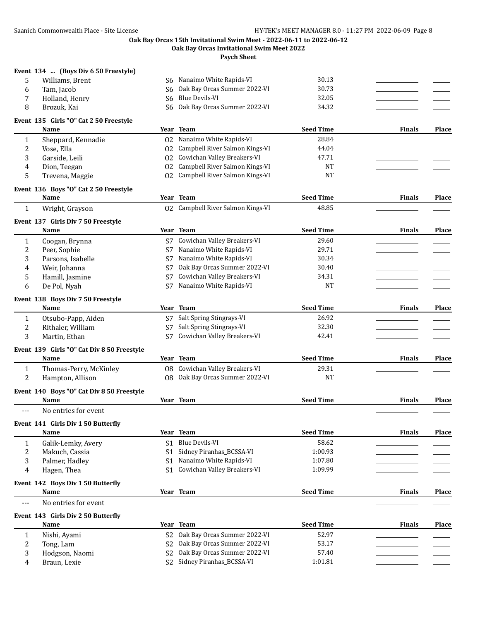#### **Oak Bay Orcas 15th Invitational Swim Meet - 2022-06-11 to 2022-06-12 Oak Bay Orcas Invitational Swim Meet 2022**

**Psych Sheet**

## **Event 134 ... (Boys Div 6 50 Freestyle)**

| Williams, Brent | S6 Nanaimo White Rapids-VI      | 30.13 |  |
|-----------------|---------------------------------|-------|--|
| Tam. Jacob      | S6 Oak Bay Orcas Summer 2022-VI | 30.73 |  |
| Holland, Henry  | S6 Blue Devils-VI               | 32.05 |  |
| Brozuk. Kai     | S6 Oak Bay Orcas Summer 2022-VI | 34.32 |  |

# **Event 135 Girls "O" Cat 2 50 Freestyle**

|       | Name                                       |                | Year Team                         | <b>Seed Time</b> | <b>Finals</b> | Place        |
|-------|--------------------------------------------|----------------|-----------------------------------|------------------|---------------|--------------|
| 1     | Sheppard, Kennadie                         | 02             | Nanaimo White Rapids-VI           | 28.84            |               |              |
| 2     | Vose, Ella                                 | 02             | Campbell River Salmon Kings-VI    | 44.04            |               |              |
| 3     | Garside, Leili                             | 02             | Cowichan Valley Breakers-VI       | 47.71            |               |              |
| 4     | Dion, Teegan                               | 02             | Campbell River Salmon Kings-VI    | <b>NT</b>        |               |              |
| 5     | Trevena, Maggie                            | 02             | Campbell River Salmon Kings-VI    | <b>NT</b>        |               |              |
|       | Event 136 Boys "O" Cat 2 50 Freestyle      |                |                                   |                  |               |              |
|       | Name                                       | Year           | <b>Team</b>                       | <b>Seed Time</b> | <b>Finals</b> | Place        |
| 1     | Wright, Grayson                            |                | 02 Campbell River Salmon Kings-VI | 48.85            |               |              |
|       | Event 137 Girls Div 7 50 Freestyle         |                |                                   |                  |               |              |
|       | Name                                       |                | Year Team                         | <b>Seed Time</b> | <b>Finals</b> | Place        |
| 1     | Coogan, Brynna                             |                | S7 Cowichan Valley Breakers-VI    | 29.60            |               |              |
| 2     | Peer, Sophie                               |                | S7 Nanaimo White Rapids-VI        | 29.71            |               |              |
| 3     | Parsons, Isabelle                          | S7             | Nanaimo White Rapids-VI           | 30.34            |               |              |
| 4     | Weir, Johanna                              | S7             | Oak Bay Orcas Summer 2022-VI      | 30.40            |               |              |
| 5     | Hamill, Jasmine                            | S7             | Cowichan Valley Breakers-VI       | 34.31            |               |              |
| 6     | De Pol, Nyah                               | S7             | Nanaimo White Rapids-VI           | NT               |               |              |
|       | Event 138 Boys Div 7 50 Freestyle          |                |                                   |                  |               |              |
|       | Name                                       |                | Year Team                         | <b>Seed Time</b> | <b>Finals</b> | <b>Place</b> |
| 1     | Otsubo-Papp, Aiden                         |                | S7 Salt Spring Stingrays-VI       | 26.92            |               |              |
| 2     | Rithaler, William                          | S7             | Salt Spring Stingrays-VI          | 32.30            |               |              |
| 3     | Martin, Ethan                              | S7             | Cowichan Valley Breakers-VI       | 42.41            |               |              |
|       | Event 139 Girls "O" Cat Div 8 50 Freestyle |                |                                   |                  |               |              |
|       | Name                                       |                | Year Team                         | <b>Seed Time</b> | <b>Finals</b> | Place        |
| 1     | Thomas-Perry, McKinley                     |                | 08 Cowichan Valley Breakers-VI    | 29.31            |               |              |
| 2     | Hampton, Allison                           |                | 08 Oak Bay Orcas Summer 2022-VI   | <b>NT</b>        |               |              |
|       | Event 140 Boys "O" Cat Div 8 50 Freestyle  |                |                                   |                  |               |              |
|       | Name                                       |                | Year Team                         | <b>Seed Time</b> | <b>Finals</b> | Place        |
| $---$ | No entries for event                       |                |                                   |                  |               |              |
|       | Event 141 Girls Div 1 50 Butterfly         |                |                                   |                  |               |              |
|       | Name                                       |                | Year Team                         | <b>Seed Time</b> | <b>Finals</b> | Place        |
| 1     | Galik-Lemky, Avery                         |                | S1 Blue Devils-VI                 | 58.62            |               |              |
| 2     | Makuch, Cassia                             | S <sub>1</sub> | Sidney Piranhas_BCSSA-VI          | 1:00.93          |               |              |
| 3     | Palmer, Hadley                             | S1             | Nanaimo White Rapids-VI           | 1:07.80          |               |              |
| 4     | Hagen, Thea                                | S <sub>1</sub> | Cowichan Valley Breakers-VI       | 1:09.99          |               |              |
|       | Event 142 Boys Div 1 50 Butterfly          |                |                                   |                  |               |              |
|       | Name                                       |                | Year Team                         | <b>Seed Time</b> | Finals        | Place        |
| ---   | No entries for event                       |                |                                   |                  |               |              |
|       | Event 143 Girls Div 2 50 Butterfly         |                |                                   |                  |               |              |
|       | Name                                       |                | Year Team                         | <b>Seed Time</b> | <b>Finals</b> | Place        |
| 1     | Nishi, Ayami                               |                | S2 Oak Bay Orcas Summer 2022-VI   | 52.97            |               |              |
| 2     | Tong, Lam                                  |                | S2 Oak Bay Orcas Summer 2022-VI   | 53.17            |               |              |
| 3     | Hodgson, Naomi                             | S <sub>2</sub> | Oak Bay Orcas Summer 2022-VI      | 57.40            |               |              |
| 4     | Braun, Lexie                               |                | S2 Sidney Piranhas_BCSSA-VI       | 1:01.81          |               |              |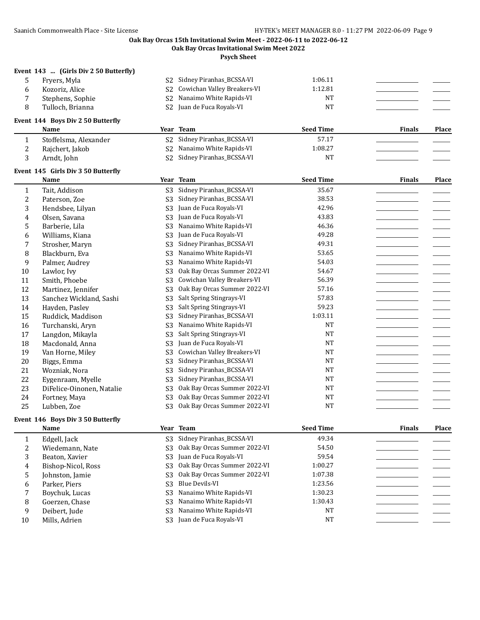**Oak Bay Orcas Invitational Swim Meet 2022**

**Psych Sheet**

## **Event 143 ... (Girls Div 2 50 Butterfly)**

| Fryers, Myla     | S2 Sidney Piranhas_BCSSA-VI            | 1:06.11 |  |
|------------------|----------------------------------------|---------|--|
| Kozoriz. Alice   | S2 Cowichan Valley Breakers-VI         | 1:12.81 |  |
| Stephens, Sophie | S <sub>2</sub> Nanaimo White Rapids-VI | NT      |  |
| Tulloch. Brianna | S <sub>2</sub> Juan de Fuca Royals-VI  | NT      |  |
|                  |                                        |         |  |

## **Event 144 Boys Div 2 50 Butterfly**

|   | Name                  | Year | Team                        | Seed Time | <b>Finals</b> | Place |
|---|-----------------------|------|-----------------------------|-----------|---------------|-------|
|   | Stoffelsma, Alexander |      | S2 Sidney Piranhas_BCSSA-VI | 57.17     |               |       |
| ∼ | Rajchert, Jakob       |      | S2 Nanaimo White Rapids-VI  | 1:08.27   |               |       |
|   | Arndt, John           |      | S2 Sidney Piranhas_BCSSA-VI | NT        |               |       |

#### **Event 145 Girls Div 3 50 Butterfly**

|    | <b>Name</b>               | Year           | <b>Team</b>                  | <b>Seed Time</b> | <b>Finals</b> | Place |
|----|---------------------------|----------------|------------------------------|------------------|---------------|-------|
| 1  | Tait, Addison             | S <sub>3</sub> | Sidney Piranhas_BCSSA-VI     | 35.67            |               |       |
| 2  | Paterson, Zoe             | S <sub>3</sub> | Sidney Piranhas_BCSSA-VI     | 38.53            |               |       |
| 3  | Hendsbee, Lilyan          | S <sub>3</sub> | Juan de Fuca Royals-VI       | 42.96            |               |       |
| 4  | Olsen, Savana             | S <sub>3</sub> | Juan de Fuca Royals-VI       | 43.83            |               |       |
| 5  | Barberie, Lila            | S <sub>3</sub> | Nanaimo White Rapids-VI      | 46.36            |               |       |
| 6  | Williams, Kiana           | S <sub>3</sub> | Juan de Fuca Royals-VI       | 49.28            |               |       |
| 7  | Strosher, Maryn           | S <sub>3</sub> | Sidney Piranhas_BCSSA-VI     | 49.31            |               |       |
| 8  | Blackburn, Eva            | S <sub>3</sub> | Nanaimo White Rapids-VI      | 53.65            |               |       |
| 9  | Palmer, Audrey            | S <sub>3</sub> | Nanaimo White Rapids-VI      | 54.03            |               |       |
| 10 | Lawlor, Ivy               | S <sub>3</sub> | Oak Bay Orcas Summer 2022-VI | 54.67            |               |       |
| 11 | Smith, Phoebe             | S <sub>3</sub> | Cowichan Valley Breakers-VI  | 56.39            |               |       |
| 12 | Martinez, Jennifer        | S <sub>3</sub> | Oak Bay Orcas Summer 2022-VI | 57.16            |               |       |
| 13 | Sanchez Wickland, Sashi   | S <sub>3</sub> | Salt Spring Stingrays-VI     | 57.83            |               |       |
| 14 | Hayden, Pasley            | S <sub>3</sub> | Salt Spring Stingrays-VI     | 59.23            |               |       |
| 15 | Ruddick, Maddison         | S <sub>3</sub> | Sidney Piranhas_BCSSA-VI     | 1:03.11          |               |       |
| 16 | Turchanski, Aryn          | S <sub>3</sub> | Nanaimo White Rapids-VI      | <b>NT</b>        |               |       |
| 17 | Langdon, Mikayla          | S <sub>3</sub> | Salt Spring Stingrays-VI     | <b>NT</b>        |               |       |
| 18 | Macdonald, Anna           | S <sub>3</sub> | Juan de Fuca Royals-VI       | NT               |               |       |
| 19 | Van Horne, Miley          | S <sub>3</sub> | Cowichan Valley Breakers-VI  | <b>NT</b>        |               |       |
| 20 | Biggs, Emma               | S3             | Sidney Piranhas_BCSSA-VI     | <b>NT</b>        |               |       |
| 21 | Wozniak, Nora             | S <sub>3</sub> | Sidney Piranhas_BCSSA-VI     | <b>NT</b>        |               |       |
| 22 | Eygenraam, Myelle         | S <sub>3</sub> | Sidney Piranhas_BCSSA-VI     | <b>NT</b>        |               |       |
| 23 | DiFelice-Oinonen, Natalie | S <sub>3</sub> | Oak Bay Orcas Summer 2022-VI | <b>NT</b>        |               |       |
| 24 | Fortney, Maya             | S <sub>3</sub> | Oak Bay Orcas Summer 2022-VI | <b>NT</b>        |               |       |
| 25 | Lubben, Zoe               | S <sub>3</sub> | Oak Bay Orcas Summer 2022-VI | <b>NT</b>        |               |       |

#### **Event 146 Boys Div 3 50 Butterfly**

|    | Name               |     | Year Team                             | <b>Seed Time</b> | <b>Finals</b> | <b>Place</b> |
|----|--------------------|-----|---------------------------------------|------------------|---------------|--------------|
|    | Edgell, Jack       | S3  | Sidney Piranhas_BCSSA-VI              | 49.34            |               |              |
|    | Wiedemann, Nate    | S3  | Oak Bay Orcas Summer 2022-VI          | 54.50            |               |              |
| 3  | Beaton, Xavier     |     | S <sub>3</sub> Juan de Fuca Royals-VI | 59.54            |               |              |
| 4  | Bishop-Nicol, Ross | S3- | Oak Bay Orcas Summer 2022-VI          | 1:00.27          |               |              |
| 5  | Johnston, Jamie    | S3  | Oak Bay Orcas Summer 2022-VI          | 1:07.38          |               |              |
| 6  | Parker, Piers      | S3  | Blue Devils-VI                        | 1:23.56          |               |              |
|    | Boychuk, Lucas     |     | S3 Nanaimo White Rapids-VI            | 1:30.23          |               |              |
| 8  | Goerzen, Chase     |     | S3 Nanaimo White Rapids-VI            | 1:30.43          |               |              |
| 9  | Deibert, Jude      | S3. | Nanaimo White Rapids-VI               | NT               |               |              |
| 10 | Mills, Adrien      |     | S <sub>3</sub> Juan de Fuca Royals-VI | NT               |               |              |
|    |                    |     |                                       |                  |               |              |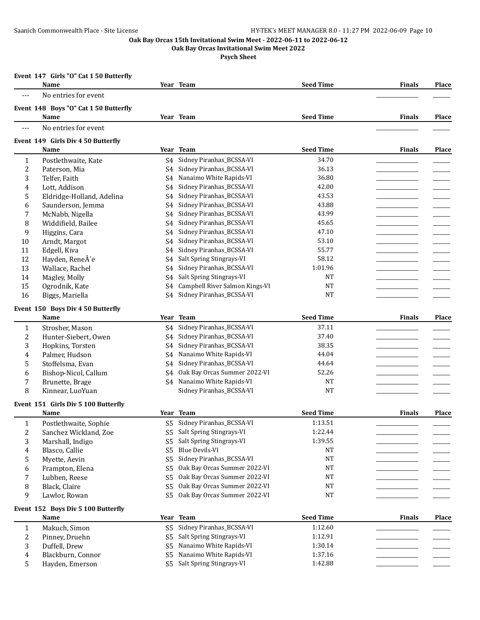**Oak Bay Orcas Invitational Swim Meet 2022**

|       | Event 147 Girls "O" Cat 1 50 Butterfly<br>Name |                | Year Team                      | <b>Seed Time</b> | <b>Finals</b> | Place        |
|-------|------------------------------------------------|----------------|--------------------------------|------------------|---------------|--------------|
| $---$ | No entries for event                           |                |                                |                  |               |              |
|       |                                                |                |                                |                  |               |              |
|       | Event 148 Boys "O" Cat 1 50 Butterfly<br>Name  |                | Year Team                      | <b>Seed Time</b> | <b>Finals</b> | Place        |
| ---   | No entries for event                           |                |                                |                  |               |              |
|       |                                                |                |                                |                  |               |              |
|       | Event 149 Girls Div 4 50 Butterfly             |                |                                |                  |               |              |
|       | Name                                           |                | Year Team                      | <b>Seed Time</b> | <b>Finals</b> | Place        |
| 1     | Postlethwaite, Kate                            | S4             | Sidney Piranhas_BCSSA-VI       | 34.70            |               |              |
| 2     | Paterson, Mia                                  | S4             | Sidney Piranhas_BCSSA-VI       | 36.13            |               |              |
| 3     | Telfer, Faith                                  | S4             | Nanaimo White Rapids-VI        | 36.80            |               |              |
| 4     | Lott, Addison                                  | S <sub>4</sub> | Sidney Piranhas_BCSSA-VI       | 42.00            |               |              |
| 5     | Eldridge-Holland, Adelina                      | S <sub>4</sub> | Sidney Piranhas_BCSSA-VI       | 43.53            |               |              |
| 6     | Saunderson, Jemma                              | S4             | Sidney Piranhas_BCSSA-VI       | 43.88            |               |              |
| 7     | McNabb, Nigella                                | S <sub>4</sub> | Sidney Piranhas_BCSSA-VI       | 43.99            |               |              |
| 8     | Widdifield, Bailee                             | S4             | Sidney Piranhas_BCSSA-VI       | 45.65            |               |              |
| 9     | Higgins, Cara                                  | S4             | Sidney Piranhas_BCSSA-VI       | 47.10            |               |              |
| 10    | Arndt, Margot                                  | S <sub>4</sub> | Sidney Piranhas_BCSSA-VI       | 53.10            |               |              |
| 11    | Edgell, Kiva                                   | S4             | Sidney Piranhas_BCSSA-VI       | 55.77            |               |              |
| 12    | Hayden, ReneÂ'e                                | S4             | Salt Spring Stingrays-VI       | 58.12            |               |              |
| 13    | Wallace, Rachel                                | S4             | Sidney Piranhas_BCSSA-VI       | 1:01.96          |               |              |
| 14    | Magley, Molly                                  | S4             | Salt Spring Stingrays-VI       | <b>NT</b>        |               |              |
| 15    | Ogrodnik, Kate                                 | S4             | Campbell River Salmon Kings-VI | <b>NT</b>        |               |              |
| 16    | Biggs, Mariella                                | S <sub>4</sub> | Sidney Piranhas_BCSSA-VI       | <b>NT</b>        |               |              |
|       | Event 150 Boys Div 4 50 Butterfly              |                |                                |                  |               |              |
|       | <b>Name</b>                                    |                | Year Team                      | <b>Seed Time</b> | <b>Finals</b> | <b>Place</b> |
| 1     | Strosher, Mason                                | S4             | Sidney Piranhas_BCSSA-VI       | 37.11            |               |              |
| 2     | Hunter-Siebert, Owen                           | S4             | Sidney Piranhas_BCSSA-VI       | 37.40            |               |              |
| 3     | Hopkins, Torsten                               | S4             | Sidney Piranhas_BCSSA-VI       | 38.35            |               |              |
| 4     | Palmer, Hudson                                 | S4             | Nanaimo White Rapids-VI        | 44.04            |               |              |
| 5     | Stoffelsma, Evan                               | S4             | Sidney Piranhas_BCSSA-VI       | 44.64            |               |              |
| 6     | Bishop-Nicol, Callum                           | S4             | Oak Bay Orcas Summer 2022-VI   | 52.26            |               |              |
| 7     | Brunette, Brage                                | S4             | Nanaimo White Rapids-VI        | <b>NT</b>        |               |              |
| 8     | Kinnear, LuoYuan                               |                | Sidney Piranhas_BCSSA-VI       | <b>NT</b>        |               |              |
|       | Event 151 Girls Div 5 100 Butterfly            |                |                                |                  |               |              |
|       | Name                                           |                | Year Team                      | <b>Seed Time</b> | <b>Finals</b> | <b>Place</b> |
| 1     | Postlethwaite, Sophie                          | S5             | Sidney Piranhas_BCSSA-VI       | 1:13.51          |               |              |
| 2     | Sanchez Wickland, Zoe                          | S <sub>5</sub> | Salt Spring Stingrays-VI       | 1:22.44          |               |              |
| 3     | Marshall, Indigo                               | S5             | Salt Spring Stingrays-VI       | 1:39.55          |               |              |
| 4     | Blasco, Callie                                 | S <sub>5</sub> | <b>Blue Devils-VI</b>          | NT               |               |              |
| 5     | Myette, Aevin                                  | S <sub>5</sub> | Sidney Piranhas_BCSSA-VI       | $\rm{NT}$        |               |              |
| 6     | Frampton, Elena                                | S <sub>5</sub> | Oak Bay Orcas Summer 2022-VI   | NT               |               |              |
| 7     | Lubben, Reese                                  | S <sub>5</sub> | Oak Bay Orcas Summer 2022-VI   | NT               |               |              |
| 8     | Black, Claire                                  | S <sub>5</sub> | Oak Bay Orcas Summer 2022-VI   | NT               |               |              |
| 9     | Lawlor, Rowan                                  | S <sub>5</sub> | Oak Bay Orcas Summer 2022-VI   | NT               |               |              |
|       | Event 152 Boys Div 5 100 Butterfly             |                |                                |                  |               |              |
|       | Name                                           |                | Year Team                      | <b>Seed Time</b> | <b>Finals</b> | <b>Place</b> |
| 1     | Makuch, Simon                                  | S5             | Sidney Piranhas_BCSSA-VI       | 1:12.60          |               |              |
| 2     | Pinney, Druehn                                 | S5             | Salt Spring Stingrays-VI       | 1:12.91          |               |              |
| 3     | Duffell, Drew                                  | S5             | Nanaimo White Rapids-VI        | 1:30.14          |               |              |
| 4     | Blackburn, Connor                              | S5             | Nanaimo White Rapids-VI        | 1:37.16          |               |              |
| 5     | Hayden, Emerson                                | S <sub>5</sub> | Salt Spring Stingrays-VI       | 1:42.88          |               |              |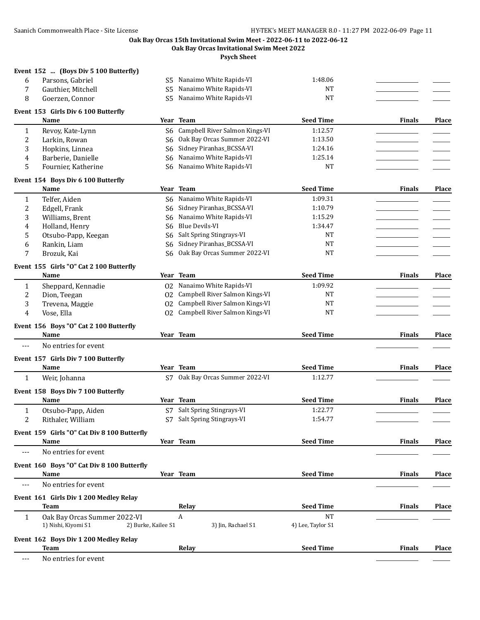**Oak Bay Orcas Invitational Swim Meet 2022**

**Psych Sheet**

| 6              | Parsons, Gabriel                                                           |                | S5 Nanaimo White Rapids-VI        | 1:48.06           |               |              |
|----------------|----------------------------------------------------------------------------|----------------|-----------------------------------|-------------------|---------------|--------------|
| 7              | Gauthier, Mitchell                                                         | S <sub>5</sub> | Nanaimo White Rapids-VI           | <b>NT</b>         |               |              |
| 8              | Goerzen, Connor                                                            | S <sub>5</sub> | Nanaimo White Rapids-VI           | <b>NT</b>         |               |              |
|                | Event 153 Girls Div 6 100 Butterfly                                        |                |                                   |                   |               |              |
|                | Name                                                                       |                | Year Team                         | <b>Seed Time</b>  | <b>Finals</b> | Place        |
| 1              | Revoy, Kate-Lynn                                                           |                | S6 Campbell River Salmon Kings-VI | 1:12.57           |               |              |
| 2              | Larkin, Rowan                                                              | S6             | Oak Bay Orcas Summer 2022-VI      | 1:13.50           |               |              |
| 3              | Hopkins, Linnea                                                            | S <sub>6</sub> | Sidney Piranhas_BCSSA-VI          | 1:24.16           |               |              |
| 4              | Barberie, Danielle                                                         | S6             | Nanaimo White Rapids-VI           | 1:25.14           |               |              |
| 5              | Fournier, Katherine                                                        | S6             | Nanaimo White Rapids-VI           | <b>NT</b>         |               |              |
|                | Event 154 Boys Div 6 100 Butterfly                                         |                |                                   |                   |               |              |
|                | Name                                                                       |                | Year Team                         | <b>Seed Time</b>  | <b>Finals</b> | Place        |
| $\mathbf{1}$   | Telfer, Aiden                                                              | S6             | Nanaimo White Rapids-VI           | 1:09.31           |               |              |
| $\overline{c}$ | Edgell, Frank                                                              | S6.            | Sidney Piranhas_BCSSA-VI          | 1:10.79           |               |              |
| 3              | Williams, Brent                                                            | S6             | Nanaimo White Rapids-VI           | 1:15.29           |               |              |
| 4              | Holland, Henry                                                             | S6             | <b>Blue Devils-VI</b>             | 1:34.47           |               |              |
| 5              | Otsubo-Papp, Keegan                                                        | S6             | Salt Spring Stingrays-VI          | <b>NT</b>         |               |              |
| 6              | Rankin, Liam                                                               | S6             | Sidney Piranhas_BCSSA-VI          | <b>NT</b>         |               |              |
| 7              | Brozuk, Kai                                                                | S6             | Oak Bay Orcas Summer 2022-VI      | <b>NT</b>         |               |              |
|                |                                                                            |                |                                   |                   |               |              |
|                | Event 155 Girls "O" Cat 2 100 Butterfly                                    |                |                                   |                   |               |              |
|                | Name                                                                       |                | Year Team                         | <b>Seed Time</b>  | <b>Finals</b> | Place        |
| 1              | Sheppard, Kennadie                                                         | 02             | Nanaimo White Rapids-VI           | 1:09.92           |               |              |
| 2              | Dion, Teegan                                                               | 02             | Campbell River Salmon Kings-VI    | <b>NT</b>         |               |              |
| 3              | Trevena, Maggie                                                            | 02             | Campbell River Salmon Kings-VI    | <b>NT</b>         |               |              |
| 4              | Vose, Ella                                                                 | 02             | Campbell River Salmon Kings-VI    | <b>NT</b>         |               |              |
|                | Event 156 Boys "O" Cat 2 100 Butterfly                                     |                |                                   |                   |               |              |
|                | Name                                                                       |                | Year Team                         | <b>Seed Time</b>  | <b>Finals</b> | Place        |
| ---            | No entries for event                                                       |                |                                   |                   |               |              |
|                | Event 157 Girls Div 7 100 Butterfly                                        |                |                                   |                   |               |              |
|                | Name                                                                       |                | Year Team                         | <b>Seed Time</b>  | <b>Finals</b> | Place        |
| $\mathbf{1}$   | Weir, Johanna                                                              |                | S7 Oak Bay Orcas Summer 2022-VI   | 1:12.77           |               |              |
|                |                                                                            |                |                                   |                   |               |              |
|                | Event 158 Boys Div 7 100 Butterfly                                         |                |                                   |                   |               |              |
|                | Name                                                                       |                | Year Team                         | <b>Seed Time</b>  | <b>Finals</b> | Place        |
| $\mathbf{1}$   | Otsubo-Papp, Aiden                                                         |                | S7 Salt Spring Stingrays-VI       | 1:22.77           |               |              |
| 2              | Rithaler, William                                                          |                | S7 Salt Spring Stingrays-VI       | 1:54.77           |               |              |
|                | Event 159 Girls "O" Cat Div 8 100 Butterfly                                |                |                                   |                   |               |              |
|                | Name                                                                       |                | Year Team                         | <b>Seed Time</b>  | <b>Finals</b> | Place        |
| $---$          | No entries for event                                                       |                |                                   |                   |               |              |
|                | Event 160 Boys "O" Cat Div 8 100 Butterfly                                 |                |                                   |                   |               |              |
|                | Name                                                                       |                | Year Team                         | <b>Seed Time</b>  | <b>Finals</b> | <b>Place</b> |
| $---$          | No entries for event                                                       |                |                                   |                   |               |              |
|                | Event 161 Girls Div 1 200 Medley Relay                                     |                |                                   |                   |               |              |
|                | <b>Team</b>                                                                |                | Relay                             | <b>Seed Time</b>  | <b>Finals</b> | <b>Place</b> |
|                |                                                                            |                | A                                 | <b>NT</b>         |               |              |
| $\mathbf{1}$   | Oak Bay Orcas Summer 2022-VI<br>1) Nishi, Kiyomi S1<br>2) Burke, Kailee S1 |                | 3) Jin, Rachael S1                | 4) Lee, Taylor S1 |               |              |
|                |                                                                            |                |                                   |                   |               |              |
|                | Event 162 Boys Div 1 200 Medley Relay                                      |                |                                   |                   |               |              |
|                | <b>Team</b>                                                                |                | Relay                             | <b>Seed Time</b>  | <b>Finals</b> | Place        |
|                |                                                                            |                |                                   |                   |               |              |

--- No entries for event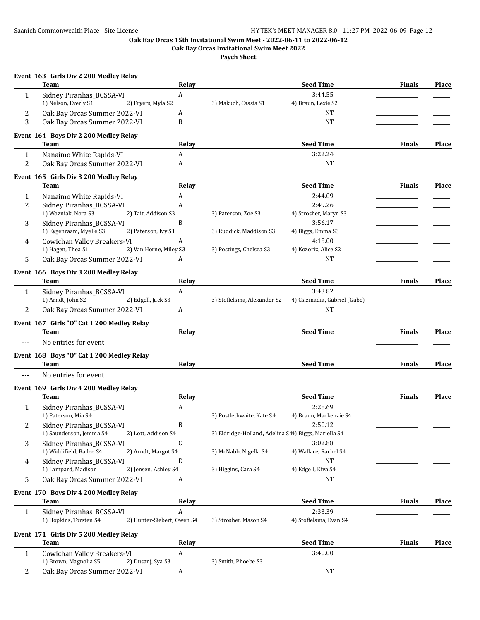**Oak Bay Orcas Invitational Swim Meet 2022**

**Psych Sheet**

|                | Event 163 Girls Div 2 200 Medley Relay<br>Team                         | Relay          |                                                      | <b>Seed Time</b>             | <b>Finals</b> | <b>Place</b> |
|----------------|------------------------------------------------------------------------|----------------|------------------------------------------------------|------------------------------|---------------|--------------|
| $\mathbf{1}$   | Sidney Piranhas_BCSSA-VI                                               | $\overline{A}$ |                                                      | 3:44.55                      |               |              |
|                | 1) Nelson, Everly S1<br>2) Fryers, Myla S2                             |                | 3) Makuch, Cassia S1                                 | 4) Braun, Lexie S2           |               |              |
| 2              | Oak Bay Orcas Summer 2022-VI                                           | A              |                                                      | <b>NT</b>                    |               |              |
| 3              | Oak Bay Orcas Summer 2022-VI                                           | B              |                                                      | <b>NT</b>                    |               |              |
|                | Event 164 Boys Div 2 200 Medley Relay                                  |                |                                                      |                              |               |              |
|                | <b>Team</b>                                                            | Relay          |                                                      | <b>Seed Time</b>             | <b>Finals</b> | Place        |
| 1              | Nanaimo White Rapids-VI                                                | А              |                                                      | 3:22.24                      |               |              |
| 2              | Oak Bay Orcas Summer 2022-VI                                           | A              |                                                      | <b>NT</b>                    |               |              |
|                |                                                                        |                |                                                      |                              |               |              |
|                | Event 165 Girls Div 3 200 Medley Relay<br><b>Team</b>                  | Relay          |                                                      | <b>Seed Time</b>             | <b>Finals</b> | <b>Place</b> |
| 1              | Nanaimo White Rapids-VI                                                | A              |                                                      | 2:44.09                      |               |              |
|                |                                                                        | A              |                                                      | 2:49.26                      |               |              |
| 2              | Sidney Piranhas_BCSSA-VI<br>1) Wozniak, Nora S3<br>2) Tait, Addison S3 |                | 3) Paterson, Zoe S3                                  | 4) Strosher, Maryn S3        |               |              |
|                |                                                                        |                |                                                      |                              |               |              |
| 3              | Sidney Piranhas_BCSSA-VI                                               | B              |                                                      | 3:56.17                      |               |              |
|                | 1) Eygenraam, Myelle S3<br>2) Paterson, Ivy S1                         |                | 3) Ruddick, Maddison S3                              | 4) Biggs, Emma S3            |               |              |
| 4              | Cowichan Valley Breakers-VI                                            | A              |                                                      | 4:15.00                      |               |              |
|                | 1) Hagen, Thea S1<br>2) Van Horne, Miley S3                            |                | 3) Postings, Chelsea S3                              | 4) Kozoriz, Alice S2         |               |              |
| 5              | Oak Bay Orcas Summer 2022-VI                                           | A              |                                                      | <b>NT</b>                    |               |              |
|                | Event 166 Boys Div 3 200 Medley Relay                                  |                |                                                      |                              |               |              |
|                | Team                                                                   | Relay          |                                                      | <b>Seed Time</b>             | <b>Finals</b> | <b>Place</b> |
| 1              | Sidney Piranhas_BCSSA-VI                                               | A              |                                                      | 3:43.82                      |               |              |
|                | 1) Arndt, John S2<br>2) Edgell, Jack S3                                |                | 3) Stoffelsma, Alexander S2                          | 4) Csizmadia, Gabriel (Gabe) |               |              |
| 2              | Oak Bay Orcas Summer 2022-VI                                           | A              |                                                      | NT                           |               |              |
|                | Event 167 Girls "O" Cat 1 200 Medley Relay                             |                |                                                      |                              |               |              |
|                | Team                                                                   | Relay          |                                                      | <b>Seed Time</b>             | <b>Finals</b> | Place        |
| $---$          | No entries for event                                                   |                |                                                      |                              |               |              |
|                | Event 168 Boys "O" Cat 1 200 Medley Relay                              |                |                                                      |                              |               |              |
|                | Team                                                                   | Relay          |                                                      | <b>Seed Time</b>             | <b>Finals</b> | <b>Place</b> |
| $---$          | No entries for event                                                   |                |                                                      |                              |               |              |
|                |                                                                        |                |                                                      |                              |               |              |
|                | Event 169 Girls Div 4 200 Medley Relay<br>Team                         | Relay          |                                                      | <b>Seed Time</b>             | <b>Finals</b> | <b>Place</b> |
|                |                                                                        | A              |                                                      | 2:28.69                      |               |              |
| 1              | Sidney Piranhas_BCSSA-VI<br>1) Paterson, Mia S4                        |                | 3) Postlethwaite, Kate S4                            | 4) Braun, Mackenzie S4       |               |              |
|                |                                                                        |                |                                                      |                              |               |              |
| $\overline{c}$ | Sidney Piranhas_BCSSA-VI                                               | B              |                                                      | 2:50.12                      |               |              |
|                | 1) Saunderson, Jemma S4<br>2) Lott, Addison S4                         |                | 3) Eldridge-Holland, Adelina S44) Biggs, Mariella S4 |                              |               |              |
| 3              | Sidney Piranhas_BCSSA-VI                                               | C              |                                                      | 3:02.88                      |               |              |
|                | 1) Widdifield, Bailee S4<br>2) Arndt, Margot S4                        |                | 3) McNabb, Nigella S4                                | 4) Wallace, Rachel S4        |               |              |
| 4              | Sidney Piranhas_BCSSA-VI                                               | D              |                                                      | <b>NT</b>                    |               |              |
|                | 1) Lampard, Madison<br>2) Jensen, Ashley S4                            |                | 3) Higgins, Cara S4                                  | 4) Edgell, Kiva S4           |               |              |
| 5              | Oak Bay Orcas Summer 2022-VI                                           | A              |                                                      | NT                           |               |              |
|                | Event 170 Boys Div 4 200 Medley Relay                                  |                |                                                      |                              |               |              |
|                | Team                                                                   | Relay          |                                                      | <b>Seed Time</b>             | <b>Finals</b> | Place        |
| 1              | Sidney Piranhas_BCSSA-VI                                               | A              |                                                      | 2:33.39                      |               |              |
|                | 1) Hopkins, Torsten S4<br>2) Hunter-Siebert, Owen S4                   |                | 3) Strosher, Mason S4                                | 4) Stoffelsma, Evan S4       |               |              |
|                | Event 171 Girls Div 5 200 Medley Relay                                 |                |                                                      |                              |               |              |
|                | Team                                                                   | Relay          |                                                      | <b>Seed Time</b>             | <b>Finals</b> | <b>Place</b> |
| 1              | Cowichan Valley Breakers-VI                                            | A              |                                                      | 3:40.00                      |               |              |
|                | 1) Brown, Magnolia S5<br>2) Dusanj, Sya S3                             |                | 3) Smith, Phoebe S3                                  |                              |               |              |

2 Oak Bay Orcas Summer 2022-VI A NT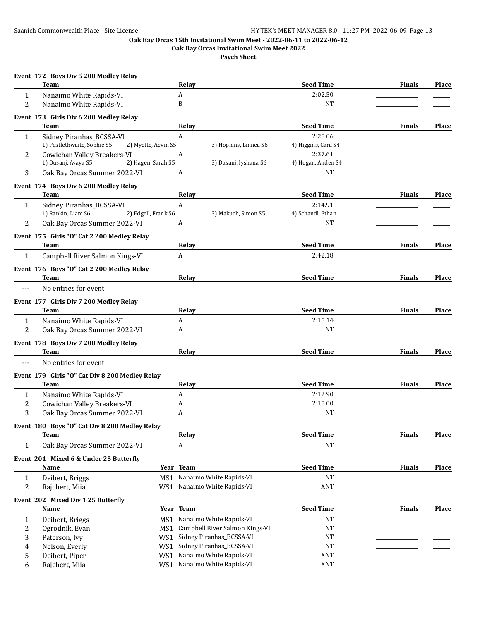**Oak Bay Orcas Invitational Swim Meet 2022**

|                | Event 172 Boys Div 5 200 Medley Relay<br><b>Team</b>                           | Relay                               | <b>Seed Time</b>               | <b>Finals</b> | <b>Place</b> |
|----------------|--------------------------------------------------------------------------------|-------------------------------------|--------------------------------|---------------|--------------|
| $\mathbf{1}$   | Nanaimo White Rapids-VI                                                        | A                                   | 2:02.50                        |               |              |
| $\overline{2}$ | Nanaimo White Rapids-VI                                                        | B                                   | <b>NT</b>                      |               |              |
|                | Event 173 Girls Div 6 200 Medley Relay<br>Team                                 | Relay                               | <b>Seed Time</b>               | <b>Finals</b> | Place        |
| 1              | Sidney Piranhas_BCSSA-VI<br>1) Postlethwaite, Sophie S5<br>2) Myette, Aevin S5 | A<br>3) Hopkins, Linnea S6          | 2:25.06<br>4) Higgins, Cara S4 |               |              |
| 2              | Cowichan Valley Breakers-VI<br>1) Dusanj, Avaya S5<br>2) Hagen, Sarah S5       | A<br>3) Dusanj, Iyshana S6          | 2:37.61<br>4) Hogan, Anden S4  |               |              |
| 3              | Oak Bay Orcas Summer 2022-VI                                                   | A                                   | <b>NT</b>                      |               |              |
|                | Event 174 Boys Div 6 200 Medley Relay                                          |                                     |                                |               |              |
|                | Team                                                                           | Relay                               | <b>Seed Time</b>               | <b>Finals</b> | Place        |
| 1              | Sidney Piranhas_BCSSA-VI<br>1) Rankin, Liam S6<br>2) Edgell, Frank S6          | $\mathbf{A}$<br>3) Makuch, Simon S5 | 2:14.91<br>4) Schandl, Ethan   |               |              |
| 2              | Oak Bay Orcas Summer 2022-VI                                                   | A                                   | NT                             |               |              |
|                | Event 175 Girls "O" Cat 2 200 Medley Relay                                     |                                     |                                |               |              |
|                | Team                                                                           | Relay                               | <b>Seed Time</b>               | <b>Finals</b> | Place        |
| $\mathbf{1}$   | Campbell River Salmon Kings-VI                                                 | A                                   | 2:42.18                        |               |              |
|                | Event 176 Boys "O" Cat 2 200 Medley Relay<br>Team                              | Relay                               | <b>Seed Time</b>               | <b>Finals</b> | Place        |
| ---            | No entries for event                                                           |                                     |                                |               |              |
|                | Event 177 Girls Div 7 200 Medley Relay                                         |                                     |                                |               |              |
|                | <b>Team</b>                                                                    | Relay                               | <b>Seed Time</b>               | <b>Finals</b> | <b>Place</b> |
| $\mathbf{1}$   | Nanaimo White Rapids-VI                                                        | A                                   | 2:15.14                        |               |              |
| 2              | Oak Bay Orcas Summer 2022-VI                                                   | A                                   | NT                             |               |              |
|                | Event 178 Boys Div 7 200 Medley Relay                                          |                                     |                                |               |              |
|                | Team                                                                           | Relay                               | <b>Seed Time</b>               | <b>Finals</b> | Place        |
| ---            | No entries for event                                                           |                                     |                                |               |              |
|                | Event 179 Girls "O" Cat Div 8 200 Medley Relay<br>Team                         | Relav                               | <b>Seed Time</b>               | <b>Finals</b> | <b>Place</b> |
| 1              | Nanaimo White Rapids-VI                                                        | A                                   | 2:12.90                        |               |              |
| 2              | Cowichan Valley Breakers-VI                                                    | A                                   | 2:15.00                        |               |              |
| 3              | Oak Bay Orcas Summer 2022-VI                                                   | A                                   | NT                             |               |              |
|                | Event 180 Boys "O" Cat Div 8 200 Medley Relay                                  |                                     |                                |               |              |
|                | Team                                                                           | Relay                               | <b>Seed Time</b>               | <b>Finals</b> | Place        |
| 1              | Oak Bay Orcas Summer 2022-VI                                                   | A                                   | <b>NT</b>                      |               |              |
|                | Event 201 Mixed 6 & Under 25 Butterfly                                         |                                     |                                |               |              |
|                | Name                                                                           | Year Team                           | <b>Seed Time</b>               | <b>Finals</b> | Place        |
| 1              | Deibert, Briggs<br>MS1                                                         | Nanaimo White Rapids-VI             | <b>NT</b>                      |               |              |
| 2              | Rajchert, Miia<br>WS1                                                          | Nanaimo White Rapids-VI             | XNT                            |               |              |
|                | Event 202 Mixed Div 1 25 Butterfly                                             |                                     |                                |               |              |
|                | Name                                                                           | Year Team                           | <b>Seed Time</b>               | <b>Finals</b> | Place        |
| 1              | Deibert, Briggs<br>MS1                                                         | Nanaimo White Rapids-VI             | <b>NT</b>                      |               |              |
| 2              | Ogrodnik, Evan                                                                 | MS1 Campbell River Salmon Kings-VI  | <b>NT</b>                      |               |              |
| 3              | Paterson, Ivy<br>WS1                                                           | Sidney Piranhas_BCSSA-VI            | <b>NT</b>                      |               |              |
| 4              | Nelson, Everly<br>WS1                                                          | Sidney Piranhas_BCSSA-VI            | <b>NT</b>                      |               |              |
| 5              | Deibert, Piper<br>WS1                                                          | Nanaimo White Rapids-VI             | XNT                            |               |              |
| 6              | Rajchert, Miia<br>WS1                                                          | Nanaimo White Rapids-VI             | XNT                            |               |              |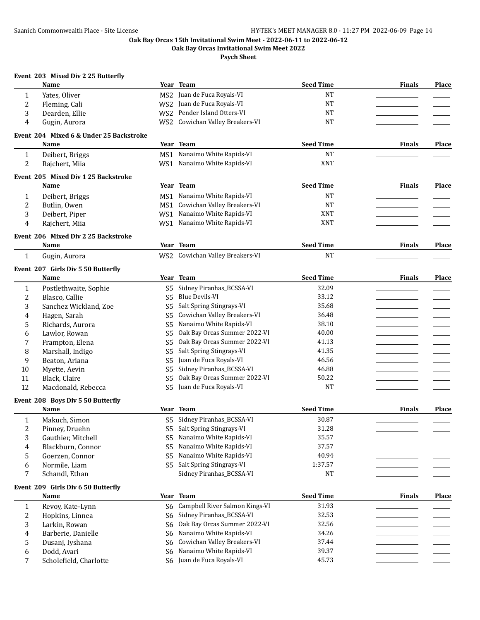## **Oak Bay Orcas 15th Invitational Swim Meet - 2022-06-11 to 2022-06-12**

**Oak Bay Orcas Invitational Swim Meet 2022**

**Psych Sheet**

|                         | Event 203 Mixed Div 2 25 Butterfly<br>Name |                      | Year Team                                           | <b>Seed Time</b> | <b>Finals</b> | Place        |
|-------------------------|--------------------------------------------|----------------------|-----------------------------------------------------|------------------|---------------|--------------|
|                         |                                            |                      | MS2 Juan de Fuca Royals-VI                          | <b>NT</b>        |               |              |
| $\mathbf{1}$            | Yates, Oliver                              |                      | WS2 Juan de Fuca Royals-VI                          | <b>NT</b>        |               |              |
| $\overline{c}$          | Fleming, Cali                              |                      | WS2 Pender Island Otters-VI                         | <b>NT</b>        |               |              |
| 3                       | Dearden, Ellie                             |                      |                                                     | <b>NT</b>        |               |              |
| 4                       | Gugin, Aurora                              |                      | WS2 Cowichan Valley Breakers-VI                     |                  |               |              |
|                         | Event 204 Mixed 6 & Under 25 Backstroke    |                      |                                                     |                  |               |              |
|                         | Name                                       |                      | Year Team                                           | <b>Seed Time</b> | <b>Finals</b> | <b>Place</b> |
| $\mathbf{1}$            | Deibert, Briggs                            | MS1                  | Nanaimo White Rapids-VI                             | <b>NT</b>        |               |              |
| $\overline{2}$          | Rajchert, Miia                             |                      | WS1 Nanaimo White Rapids-VI                         | <b>XNT</b>       |               |              |
|                         | Event 205 Mixed Div 1 25 Backstroke        |                      |                                                     |                  |               |              |
|                         | Name                                       |                      | Year Team                                           | <b>Seed Time</b> | <b>Finals</b> | Place        |
| $\mathbf{1}$            | Deibert, Briggs                            |                      | MS1 Nanaimo White Rapids-VI                         | <b>NT</b>        |               |              |
| $\overline{c}$          | Butlin, Owen                               |                      | MS1 Cowichan Valley Breakers-VI                     | <b>NT</b>        |               |              |
| 3                       | Deibert, Piper                             |                      | WS1 Nanaimo White Rapids-VI                         | <b>XNT</b>       |               |              |
| 4                       | Rajchert, Miia                             |                      | WS1 Nanaimo White Rapids-VI                         | <b>XNT</b>       |               |              |
|                         | Event 206 Mixed Div 2 25 Backstroke        |                      |                                                     |                  |               |              |
|                         | Name                                       |                      | Year Team                                           | <b>Seed Time</b> | <b>Finals</b> | Place        |
| $\mathbf{1}$            | Gugin, Aurora                              |                      | WS2 Cowichan Valley Breakers-VI                     | <b>NT</b>        |               |              |
|                         |                                            |                      |                                                     |                  |               |              |
|                         | Event 207 Girls Div 5 50 Butterfly         |                      |                                                     |                  |               |              |
|                         | Name                                       |                      | Year Team                                           | <b>Seed Time</b> | <b>Finals</b> | Place        |
| $\mathbf{1}$            | Postlethwaite, Sophie                      |                      | S5 Sidney Piranhas_BCSSA-VI                         | 32.09            |               |              |
| $\boldsymbol{2}$        | Blasco, Callie                             | S <sub>5</sub>       | <b>Blue Devils-VI</b>                               | 33.12            |               |              |
| 3                       | Sanchez Wickland, Zoe                      | S <sub>5</sub>       | Salt Spring Stingrays-VI                            | 35.68            |               |              |
| 4                       | Hagen, Sarah                               | S <sub>5</sub>       | Cowichan Valley Breakers-VI                         | 36.48            |               |              |
|                         |                                            |                      |                                                     |                  |               |              |
| 5                       | Richards, Aurora                           | S5                   | Nanaimo White Rapids-VI                             | 38.10            |               |              |
| 6                       | Lawlor, Rowan                              | S <sub>5</sub>       | Oak Bay Orcas Summer 2022-VI                        | 40.00            |               |              |
| 7                       | Frampton, Elena                            | S5                   | Oak Bay Orcas Summer 2022-VI                        | 41.13            |               |              |
| 8                       | Marshall, Indigo                           | S <sub>5</sub>       | Salt Spring Stingrays-VI                            | 41.35            |               |              |
| 9                       | Beaton, Ariana                             | S <sub>5</sub>       | Juan de Fuca Royals-VI                              | 46.56            |               |              |
| 10                      | Myette, Aevin                              | S <sub>5</sub>       | Sidney Piranhas_BCSSA-VI                            | 46.88            |               |              |
| 11                      | Black, Claire                              | S <sub>5</sub>       | Oak Bay Orcas Summer 2022-VI                        | 50.22            |               |              |
| 12                      | Macdonald, Rebecca                         | S <sub>5</sub>       | Juan de Fuca Royals-VI                              | <b>NT</b>        |               |              |
|                         |                                            |                      |                                                     |                  |               |              |
|                         | Event 208 Boys Div 5 50 Butterfly<br>Name  |                      | Year Team                                           | <b>Seed Time</b> | <b>Finals</b> | Place        |
|                         |                                            | S5                   | Sidney Piranhas_BCSSA-VI                            | 30.87            |               |              |
| $\mathbf{1}$            | Makuch, Simon                              |                      |                                                     |                  |               |              |
| $\sqrt{2}$              | Pinney, Druehn                             | S <sub>5</sub>       | Salt Spring Stingrays-VI<br>Nanaimo White Rapids-VI | 31.28<br>35.57   |               |              |
| 3                       | Gauthier, Mitchell                         | S <sub>5</sub>       | Nanaimo White Rapids-VI                             |                  |               |              |
| $\overline{\mathbf{4}}$ | Blackburn, Connor                          | S <sub>5</sub>       | Nanaimo White Rapids-VI                             | 37.57            |               |              |
| 5<br>6                  | Goerzen, Connor<br>Normile, Liam           | S5<br>S <sub>5</sub> | Salt Spring Stingrays-VI                            | 40.94<br>1:37.57 |               |              |

#### **Event 209 Girls Div 6 50 Butterfly**

|   | Name                   | Year Team                         | <b>Seed Time</b> | <b>Finals</b> | <b>Place</b> |
|---|------------------------|-----------------------------------|------------------|---------------|--------------|
|   | Revoy, Kate-Lynn       | S6 Campbell River Salmon Kings-VI | 31.93            |               |              |
|   | Hopkins, Linnea        | S6 Sidney Piranhas_BCSSA-VI       | 32.53            |               |              |
|   | Larkin, Rowan          | S6 Oak Bay Orcas Summer 2022-VI   | 32.56            |               |              |
| 4 | Barberie, Danielle     | S6 Nanaimo White Rapids-VI        | 34.26            |               |              |
|   | Dusani, Iyshana        | S6 Cowichan Valley Breakers-VI    | 37.44            |               |              |
| b | Dodd. Avari            | S6 Nanaimo White Rapids-VI        | 39.37            |               |              |
|   | Scholefield, Charlotte | S6 Juan de Fuca Royals-VI         | 45.73            |               |              |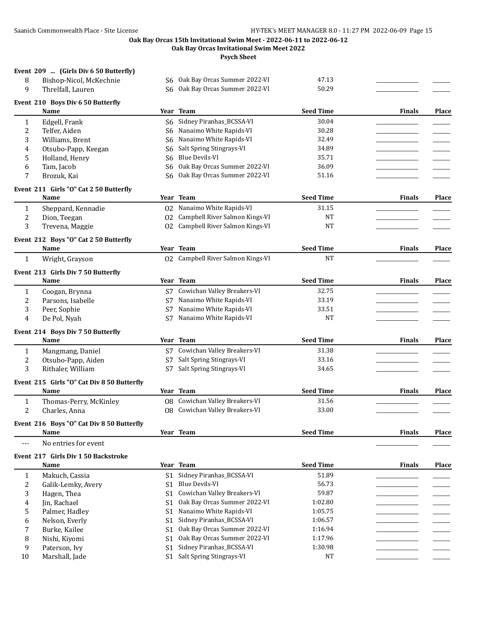**Oak Bay Orcas Invitational Swim Meet 2022**

**Psych Sheet**

#### **Event 209 ... (Girls Div 6 50 Butterfly)**

| 8            | Bishop-Nicol, McKechnie                    |                | S6 Oak Bay Orcas Summer 2022-VI   | 47.13            |               |              |
|--------------|--------------------------------------------|----------------|-----------------------------------|------------------|---------------|--------------|
| 9            | Threlfall, Lauren                          | S6.            | Oak Bay Orcas Summer 2022-VI      | 50.29            |               |              |
|              |                                            |                |                                   |                  |               |              |
|              | Event 210 Boys Div 6 50 Butterfly<br>Name  |                | Year Team                         | <b>Seed Time</b> | <b>Finals</b> | <b>Place</b> |
| $\mathbf{1}$ | Edgell, Frank                              | S6             | Sidney Piranhas_BCSSA-VI          | 30.04            |               |              |
| 2            | Telfer, Aiden                              | S6             | Nanaimo White Rapids-VI           | 30.28            |               |              |
| 3            | Williams, Brent                            | S6             | Nanaimo White Rapids-VI           | 32.49            |               |              |
| 4            | Otsubo-Papp, Keegan                        | S6             | Salt Spring Stingrays-VI          | 34.89            |               |              |
| 5            | Holland, Henry                             | S <sub>6</sub> | <b>Blue Devils-VI</b>             | 35.71            |               |              |
| 6            | Tam, Jacob                                 | S <sub>6</sub> | Oak Bay Orcas Summer 2022-VI      | 36.09            |               |              |
| 7            |                                            | S <sub>6</sub> | Oak Bay Orcas Summer 2022-VI      | 51.16            |               |              |
|              | Brozuk, Kai                                |                |                                   |                  |               |              |
|              | Event 211 Girls "O" Cat 2 50 Butterfly     |                |                                   |                  |               |              |
|              | Name                                       |                | Year Team                         | <b>Seed Time</b> | <b>Finals</b> | Place        |
| 1            | Sheppard, Kennadie                         |                | 02 Nanaimo White Rapids-VI        | 31.15            |               |              |
| 2            | Dion, Teegan                               | 02             | Campbell River Salmon Kings-VI    | <b>NT</b>        |               |              |
| 3            | Trevena, Maggie                            | 02             | Campbell River Salmon Kings-VI    | <b>NT</b>        |               |              |
|              | Event 212 Boys "O" Cat 2 50 Butterfly      |                |                                   |                  |               |              |
|              | Name                                       |                | Year Team                         | <b>Seed Time</b> | <b>Finals</b> | Place        |
| 1            | Wright, Grayson                            |                | 02 Campbell River Salmon Kings-VI | <b>NT</b>        |               |              |
|              | Event 213 Girls Div 7 50 Butterfly         |                |                                   |                  |               |              |
|              | Name                                       |                | Year Team                         | <b>Seed Time</b> | <b>Finals</b> | Place        |
|              |                                            |                |                                   | 32.75            |               |              |
| 1            | Coogan, Brynna                             |                | S7 Cowichan Valley Breakers-VI    |                  |               |              |
| 2            | Parsons, Isabelle                          | S7             | Nanaimo White Rapids-VI           | 33.19            |               |              |
| 3            | Peer, Sophie                               | S7             | Nanaimo White Rapids-VI           | 33.51            |               |              |
| 4            | De Pol, Nyah                               | S7             | Nanaimo White Rapids-VI           | NT               |               |              |
|              | Event 214 Boys Div 7 50 Butterfly          |                |                                   |                  |               |              |
|              | Name                                       |                | Year Team                         | <b>Seed Time</b> | <b>Finals</b> | Place        |
| $\mathbf{1}$ | Mangmang, Daniel                           |                | S7 Cowichan Valley Breakers-VI    | 31.38            |               |              |
| 2            | Otsubo-Papp, Aiden                         | S7             | Salt Spring Stingrays-VI          | 33.16            |               |              |
| 3            | Rithaler, William                          | S7             | Salt Spring Stingrays-VI          | 34.65            |               |              |
|              | Event 215 Girls "O" Cat Div 8 50 Butterfly |                |                                   |                  |               |              |
|              | Name                                       |                | Year Team                         | <b>Seed Time</b> | <b>Finals</b> | Place        |
| 1            | Thomas-Perry, McKinley                     | 08             | Cowichan Valley Breakers-VI       | 31.56            |               |              |
| 2            | Charles, Anna                              |                | 08 Cowichan Valley Breakers-VI    | 33.00            |               |              |
|              |                                            |                |                                   |                  |               |              |
|              | Event 216 Boys "O" Cat Div 8 50 Butterfly  |                |                                   |                  |               |              |
|              | Name                                       |                | Year Team                         | <b>Seed Time</b> | <b>Finals</b> | Place        |
| $---$        | No entries for event                       |                |                                   |                  |               |              |
|              | Event 217 Girls Div 1 50 Backstroke        |                |                                   |                  |               |              |
|              | Name                                       |                | Year Team                         | <b>Seed Time</b> | <b>Finals</b> | Place        |
| 1            | Makuch, Cassia                             | S1             | Sidney Piranhas_BCSSA-VI          | 51.89            |               |              |
| 2            | Galik-Lemky, Avery                         | S1             | <b>Blue Devils-VI</b>             | 56.73            |               |              |
| 3            | Hagen, Thea                                | S <sub>1</sub> | Cowichan Valley Breakers-VI       | 59.87            |               |              |
| 4            | Jin, Rachael                               | S <sub>1</sub> | Oak Bay Orcas Summer 2022-VI      | 1:02.80          |               |              |
| 5            | Palmer, Hadley                             |                | S1 Nanaimo White Rapids-VI        | 1:05.75          |               |              |
|              |                                            |                |                                   |                  |               |              |

# 6 Nelson, Everly S1 Sidney Piranhas\_BCSSA-VI 1:06.57<br>
7 Burke, Kailee S1 Oak Bay Orcas Summer 2022-VI 1:16.94 7 Burke, Kailee S1 Oak Bay Orcas Summer 2022-VI 1:16.94 \_\_\_\_\_\_\_\_\_\_\_\_\_\_\_\_\_ \_\_\_\_\_\_\_ 8 Nishi, Kiyomi S1 Oak Bay Orcas Summer 2022-VI 1:17.96<br>
9 Paterson, Ivy S1 Sidney Piranhas\_BCSSA-VI 1:30.98 9 Paterson, Ivy S1 Sidney Piranhas\_BCSSA-VI 10 Marshall, Jade S1 Salt Spring Stingrays-VI NT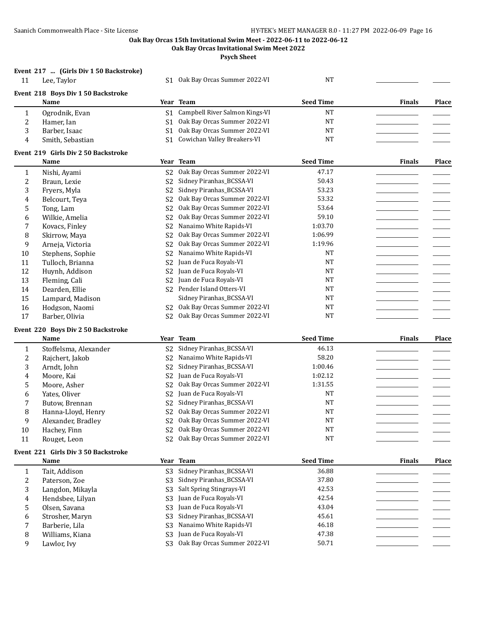**Oak Bay Orcas Invitational Swim Meet 2022**

**Psych Sheet**

## **Event 217 ... (Girls Div 1 50 Backstroke)**

|  | Event 218 Boys Div 1 50 Backstroke |  |
|--|------------------------------------|--|
|  |                                    |  |

|    | IIU 210 DOVS DIV 1 JO DAUNSU ONC |      |                                 |                  |               |       |
|----|----------------------------------|------|---------------------------------|------------------|---------------|-------|
|    | <b>Name</b>                      | Year | Team                            | <b>Seed Time</b> | <b>Finals</b> | Place |
|    | Ogrodnik, Evan                   | S1.  | Campbell River Salmon Kings-VI  | NΤ               |               |       |
| Ζ. | Hamer, Ian                       |      | S1 Oak Bay Orcas Summer 2022-VI | NT               |               |       |
|    | Barber, Isaac                    | S1.  | Oak Bay Orcas Summer 2022-VI    | NT               |               |       |
|    | Smith, Sebastian                 | S1.  | Cowichan Valley Breakers-VI     | NT               |               |       |

S1 Oak Bay Orcas Summer 2022-VI NT

#### **Event 219 Girls Div 2 50 Backstroke**

|    | Name             |                | Year Team                    | <b>Seed Time</b> | <b>Finals</b> | Place |
|----|------------------|----------------|------------------------------|------------------|---------------|-------|
|    | Nishi, Ayami     | S <sub>2</sub> | Oak Bay Orcas Summer 2022-VI | 47.17            |               |       |
| 2  | Braun, Lexie     | S2             | Sidney Piranhas_BCSSA-VI     | 50.43            |               |       |
| 3  | Fryers, Myla     | S2             | Sidney Piranhas_BCSSA-VI     | 53.23            |               |       |
| 4  | Belcourt, Teva   | S <sub>2</sub> | Oak Bay Orcas Summer 2022-VI | 53.32            |               |       |
| 5  | Tong, Lam        | S <sub>2</sub> | Oak Bay Orcas Summer 2022-VI | 53.64            |               |       |
| 6  | Wilkie, Amelia   | S <sub>2</sub> | Oak Bay Orcas Summer 2022-VI | 59.10            |               |       |
| 7  | Kovacs, Finley   | S <sub>2</sub> | Nanaimo White Rapids-VI      | 1:03.70          |               |       |
| 8  | Skirrow, Maya    | S <sub>2</sub> | Oak Bay Orcas Summer 2022-VI | 1:06.99          |               |       |
| 9  | Arneja, Victoria | S2             | Oak Bay Orcas Summer 2022-VI | 1:19.96          |               |       |
| 10 | Stephens, Sophie | S <sub>2</sub> | Nanaimo White Rapids-VI      | <b>NT</b>        |               |       |
| 11 | Tulloch, Brianna | S <sub>2</sub> | Juan de Fuca Royals-VI       | <b>NT</b>        |               |       |
| 12 | Huynh, Addison   | S <sub>2</sub> | Juan de Fuca Royals-VI       | <b>NT</b>        |               |       |
| 13 | Fleming, Cali    | S <sub>2</sub> | Juan de Fuca Royals-VI       | <b>NT</b>        |               |       |
| 14 | Dearden, Ellie   | S <sub>2</sub> | Pender Island Otters-VI      | <b>NT</b>        |               |       |
| 15 | Lampard, Madison |                | Sidney Piranhas BCSSA-VI     | <b>NT</b>        |               |       |
| 16 | Hodgson, Naomi   | S2             | Oak Bay Orcas Summer 2022-VI | <b>NT</b>        |               |       |
| 17 | Barber, Olivia   | S <sub>2</sub> | Oak Bay Orcas Summer 2022-VI | <b>NT</b>        |               |       |

## **Event 220 Boys Div 2 50 Backstroke**

|    | Name                  |                | Year Team                       | <b>Seed Time</b> | <b>Finals</b> | Place |
|----|-----------------------|----------------|---------------------------------|------------------|---------------|-------|
|    | Stoffelsma, Alexander |                | S2 Sidney Piranhas_BCSSA-VI     | 46.13            |               |       |
| 2  | Rajchert, Jakob       | S2             | Nanaimo White Rapids-VI         | 58.20            |               |       |
| 3  | Arndt, John           | S <sub>2</sub> | Sidney Piranhas_BCSSA-VI        | 1:00.46          |               |       |
| 4  | Moore, Kai            |                | S2 Juan de Fuca Royals-VI       | 1:02.12          |               |       |
| 5  | Moore, Asher          |                | S2 Oak Bay Orcas Summer 2022-VI | 1:31.55          |               |       |
| 6  | Yates, Oliver         | S2             | Juan de Fuca Royals-VI          | NT               |               |       |
|    | Butow, Brennan        |                | S2 Sidney Piranhas_BCSSA-VI     | <b>NT</b>        |               |       |
| 8  | Hanna-Lloyd, Henry    |                | S2 Oak Bay Orcas Summer 2022-VI | NT               |               |       |
| 9  | Alexander, Bradley    | S2             | Oak Bay Orcas Summer 2022-VI    | <b>NT</b>        |               |       |
| 10 | Hachey, Finn          | S2             | Oak Bay Orcas Summer 2022-VI    | NT               |               |       |
| 11 | Rouget, Leon          |                | S2 Oak Bay Orcas Summer 2022-VI | <b>NT</b>        |               |       |

#### **Event 221 Girls Div 3 50 Backstroke**

|   | Name             |                | Year Team                    | <b>Seed Time</b> | <b>Finals</b> | <b>Place</b> |
|---|------------------|----------------|------------------------------|------------------|---------------|--------------|
|   | Tait, Addison    | S <sub>3</sub> | Sidney Piranhas_BCSSA-VI     | 36.88            |               |              |
| ∠ | Paterson, Zoe    | S <sub>3</sub> | Sidney Piranhas BCSSA-VI     | 37.80            |               |              |
| 3 | Langdon, Mikayla |                | S3 Salt Spring Stingrays-VI  | 42.53            |               |              |
| 4 | Hendsbee, Lilyan | S <sub>3</sub> | Juan de Fuca Royals-VI       | 42.54            |               |              |
|   | Olsen, Savana    |                | S3 Juan de Fuca Royals-VI    | 43.04            |               |              |
| 6 | Strosher, Maryn  | S3             | Sidney Piranhas BCSSA-VI     | 45.61            |               |              |
|   | Barberie, Lila   |                | S3 Nanaimo White Rapids-VI   | 46.18            |               |              |
| 8 | Williams, Kiana  | S <sub>3</sub> | Juan de Fuca Royals-VI       | 47.38            |               |              |
|   | Lawlor, Ivy      | S <sub>3</sub> | Oak Bay Orcas Summer 2022-VI | 50.71            |               |              |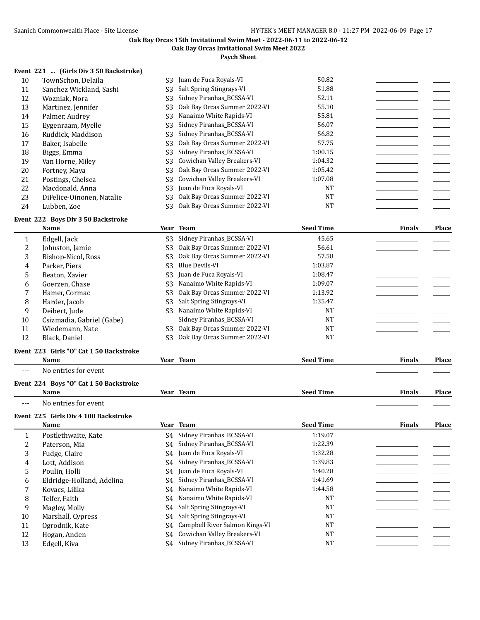**Oak Bay Orcas Invitational Swim Meet 2022**

**Psych Sheet**

## **Event 221 ... (Girls Div 3 50 Backstroke)**

| 10 | TownSchon, Delaila        | S3             | Juan de Fuca Royals-VI       | 50.82     |  |
|----|---------------------------|----------------|------------------------------|-----------|--|
| 11 | Sanchez Wickland, Sashi   | S3             | Salt Spring Stingrays-VI     | 51.88     |  |
| 12 | Wozniak, Nora             | S3             | Sidney Piranhas BCSSA-VI     | 52.11     |  |
| 13 | Martinez, Jennifer        | S3             | Oak Bay Orcas Summer 2022-VI | 55.10     |  |
| 14 | Palmer, Audrey            | S3             | Nanaimo White Rapids-VI      | 55.81     |  |
| 15 | Evgenraam, Myelle         | S3             | Sidney Piranhas_BCSSA-VI     | 56.07     |  |
| 16 | Ruddick, Maddison         | S3             | Sidney Piranhas BCSSA-VI     | 56.82     |  |
| 17 | Baker, Isabelle           | S3             | Oak Bay Orcas Summer 2022-VI | 57.75     |  |
| 18 | Biggs, Emma               | S3             | Sidney Piranhas_BCSSA-VI     | 1:00.15   |  |
| 19 | Van Horne, Miley          | S3             | Cowichan Valley Breakers-VI  | 1:04.32   |  |
| 20 | Fortney, Maya             | S3             | Oak Bay Orcas Summer 2022-VI | 1:05.42   |  |
| 21 | Postings, Chelsea         | S <sub>3</sub> | Cowichan Valley Breakers-VI  | 1:07.08   |  |
| 22 | Macdonald, Anna           | S3             | Juan de Fuca Royals-VI       | <b>NT</b> |  |
| 23 | DiFelice-Oinonen, Natalie | S3             | Oak Bay Orcas Summer 2022-VI | <b>NT</b> |  |
| 24 | Lubben, Zoe               | S3             | Oak Bay Orcas Summer 2022-VI | <b>NT</b> |  |

## **Event 222 Boys Div 3 50 Backstroke**

|    | Name                                    |                | Year Team                    | <b>Seed Time</b> | <b>Finals</b> | Place        |
|----|-----------------------------------------|----------------|------------------------------|------------------|---------------|--------------|
|    | Edgell, Jack                            | S <sub>3</sub> | Sidney Piranhas BCSSA-VI     | 45.65            |               |              |
| 2  | Johnston, Jamie                         | S <sub>3</sub> | Oak Bay Orcas Summer 2022-VI | 56.61            |               |              |
| 3  | Bishop-Nicol, Ross                      | S3             | Oak Bay Orcas Summer 2022-VI | 57.58            |               |              |
| 4  | Parker, Piers                           | S <sub>3</sub> | Blue Devils-VI               | 1:03.87          |               |              |
| 5  | Beaton, Xavier                          | S <sub>3</sub> | Juan de Fuca Royals-VI       | 1:08.47          |               |              |
| 6  | Goerzen, Chase                          | S <sub>3</sub> | Nanaimo White Rapids-VI      | 1:09.07          |               |              |
|    | Hamer, Cormac                           | S <sub>3</sub> | Oak Bay Orcas Summer 2022-VI | 1:13.92          |               |              |
| 8  | Harder, Jacob                           | S <sub>3</sub> | Salt Spring Stingrays-VI     | 1:35.47          |               |              |
| 9  | Deibert, Jude                           | S <sub>3</sub> | Nanaimo White Rapids-VI      | <b>NT</b>        |               |              |
| 10 | Csizmadia, Gabriel (Gabe)               |                | Sidney Piranhas BCSSA-VI     | <b>NT</b>        |               |              |
| 11 | Wiedemann, Nate                         | S3             | Oak Bay Orcas Summer 2022-VI | <b>NT</b>        |               |              |
| 12 | Black, Daniel                           | S <sub>3</sub> | Oak Bay Orcas Summer 2022-VI | <b>NT</b>        |               |              |
|    | Event 223 Girls "O" Cat 1 50 Backstroke |                |                              |                  |               |              |
|    | Name                                    |                | Year Team                    | <b>Seed Time</b> | <b>Finals</b> | <b>Place</b> |

--- No entries for event

## **Event 224 Boys "O" Cat 1 50 Backstroke**

|       | <b>Name</b>                          |    | Year Team                   | <b>Seed Time</b> | <b>Finals</b> | Place |
|-------|--------------------------------------|----|-----------------------------|------------------|---------------|-------|
| $---$ | No entries for event                 |    |                             |                  |               |       |
|       | Event 225 Girls Div 4 100 Backstroke |    |                             |                  |               |       |
|       | <b>Name</b>                          |    | Year Team                   | <b>Seed Time</b> | <b>Finals</b> | Place |
|       | Postlethwaite, Kate                  |    | S4 Sidney Piranhas BCSSA-VI | 1:19.07          |               |       |
| ∠     | Paterson, Mia                        | S4 | Sidney Piranhas BCSSA-VI    | 1:22.39          |               |       |
| 3     | Fudge, Claire                        |    | S4 Juan de Fuca Royals-VI   | 1:32.28          |               |       |
| 4     | Lott, Addison                        | S4 | Sidney Piranhas_BCSSA-VI    | 1:39.83          |               |       |
|       | _                                    |    |                             | $\overline{1}$   |               |       |

|              | Poulin, Holli             | S4 Juan de Fuca Royals-VI         | 1:40.28   |  |
|--------------|---------------------------|-----------------------------------|-----------|--|
| <sub>b</sub> | Eldridge-Holland, Adelina | S4 Sidney Piranhas BCSSA-VI       | 1:41.69   |  |
|              | Kovacs, Lilika            | S4 Nanaimo White Rapids-VI        | 1:44.58   |  |
| 8            | Telfer. Faith             | S4 Nanaimo White Rapids-VI        | NT        |  |
|              | Magley, Molly             | S4 Salt Spring Stingrays-VI       | <b>NT</b> |  |
| 10           | Marshall, Cypress         | S4 Salt Spring Stingrays-VI       | <b>NT</b> |  |
| 11           | Ogrodnik, Kate            | S4 Campbell River Salmon Kings-VI | <b>NT</b> |  |
| 12           | Hogan, Anden              | S4 Cowichan Valley Breakers-VI    | <b>NT</b> |  |
| 13           | Edgell, Kiva              | Sidney Piranhas BCSSA-VI          | <b>NT</b> |  |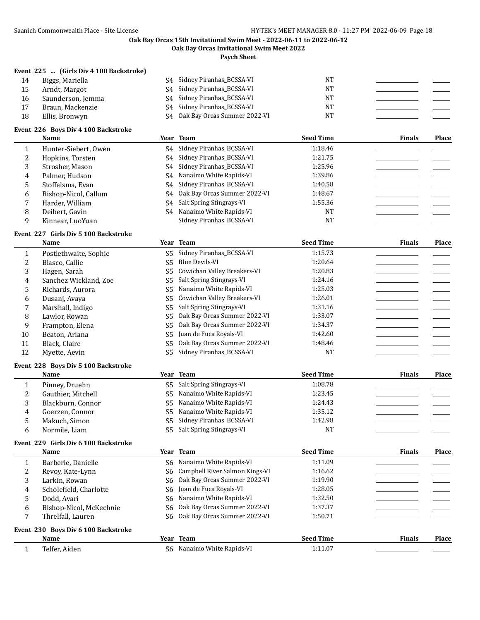**Oak Bay Orcas Invitational Swim Meet 2022**

**Psych Sheet**

#### **Event 225 ... (Girls Div 4 100 Backstroke)**

14 Biggs, Mariella S4 Sidney Piranhas\_BCSSA-VI NT 15 Arndt, Margot S4 Sidney Piranhas\_BCSSA-VI NT 16 Saunderson, Jemma S4 Sidney Piranhas\_BCSSA-VI NT 17 Braun, Mackenzie S4 Sidney Piranhas\_BCSSA-VI NT 18 Ellis, Bronwyn S4 Oak Bay Orcas Summer 2022-VI NT

#### **Event 226 Boys Div 4 100 Backstroke**

| Name |                            |  |  |
|------|----------------------------|--|--|
|      | للمحامل فالتراكب والمستحدث |  |  |

|    | Name                 |    | Year Team                       | <b>Seed Time</b> | <b>Finals</b> | Place |
|----|----------------------|----|---------------------------------|------------------|---------------|-------|
|    | Hunter-Siebert, Owen |    | S4 Sidney Piranhas_BCSSA-VI     | 1:18.46          |               |       |
| 2  | Hopkins, Torsten     | S4 | Sidney Piranhas BCSSA-VI        | 1:21.75          |               |       |
| 3  | Strosher, Mason      |    | S4 Sidney Piranhas BCSSA-VI     | 1:25.96          |               |       |
| 4  | Palmer, Hudson       |    | S4 Nanaimo White Rapids-VI      | 1:39.86          |               |       |
| 5. | Stoffelsma, Evan     |    | S4 Sidney Piranhas BCSSA-VI     | 1:40.58          |               |       |
| 6  | Bishop-Nicol, Callum |    | S4 Oak Bay Orcas Summer 2022-VI | 1:48.67          |               |       |
| 7  | Harder, William      |    | S4 Salt Spring Stingrays-VI     | 1:55.36          |               |       |
| 8  | Deibert, Gavin       |    | S4 Nanaimo White Rapids-VI      | NT               |               |       |
| 9  | Kinnear, LuoYuan     |    | Sidney Piranhas BCSSA-VI        | NT               |               |       |

#### **Event 227 Girls Div 5 100 Backstroke**

|    | <b>Name</b>           |     | Year Team                    | <b>Seed Time</b> | <b>Finals</b> | Place |
|----|-----------------------|-----|------------------------------|------------------|---------------|-------|
|    | Postlethwaite, Sophie | S5  | Sidney Piranhas_BCSSA-VI     | 1:15.73          |               |       |
|    | Blasco, Callie        | S5  | Blue Devils-VI               | 1:20.64          |               |       |
| 3  | Hagen, Sarah          | S5  | Cowichan Valley Breakers-VI  | 1:20.83          |               |       |
| 4  | Sanchez Wickland, Zoe | S5. | Salt Spring Stingrays-VI     | 1:24.16          |               |       |
| 5. | Richards, Aurora      | S5  | Nanaimo White Rapids-VI      | 1:25.03          |               |       |
| 6  | Dusanj, Avaya         | S5. | Cowichan Valley Breakers-VI  | 1:26.01          |               |       |
|    | Marshall, Indigo      | S5  | Salt Spring Stingrays-VI     | 1:31.16          |               |       |
| 8  | Lawlor, Rowan         | S5  | Oak Bay Orcas Summer 2022-VI | 1:33.07          |               |       |
| 9  | Frampton, Elena       | S5  | Oak Bay Orcas Summer 2022-VI | 1:34.37          |               |       |
| 10 | Beaton, Ariana        | S5  | Juan de Fuca Royals-VI       | 1:42.60          |               |       |
| 11 | Black, Claire         | S5  | Oak Bay Orcas Summer 2022-VI | 1:48.46          |               |       |
| 12 | Myette, Aevin         | S5. | Sidney Piranhas_BCSSA-VI     | <b>NT</b>        |               |       |

#### **Event 228 Boys Div 5 100 Backstroke**

|               | Name               |     | Year Team                   | <b>Seed Time</b> | <b>Finals</b> | Place |
|---------------|--------------------|-----|-----------------------------|------------------|---------------|-------|
|               | Pinney, Druehn     |     | S5 Salt Spring Stingrays-VI | 1:08.78          |               |       |
|               | Gauthier. Mitchell |     | S5 Nanaimo White Rapids-VI  | 1:23.45          |               |       |
|               | Blackburn, Connor  |     | S5 Nanaimo White Rapids-VI  | 1:24.43          |               |       |
| 4             | Goerzen, Connor    |     | S5 Nanaimo White Rapids-VI  | 1:35.12          |               |       |
| $\mathcal{D}$ | Makuch, Simon      |     | S5 Sidney Piranhas BCSSA-VI | 1:42.98          |               |       |
| 6             | Normile, Liam      | S5. | Salt Spring Stingrays-VI    | NT               |               |       |

#### **Event 229 Girls Div 6 100 Backstroke**

|   | Name                                |     | Year Team                         | <b>Seed Time</b> | <b>Finals</b> | Place |
|---|-------------------------------------|-----|-----------------------------------|------------------|---------------|-------|
|   | Barberie, Danielle                  | S6. | Nanaimo White Rapids-VI           | 1:11.09          |               |       |
|   | Revoy, Kate-Lynn                    |     | S6 Campbell River Salmon Kings-VI | 1:16.62          |               |       |
|   | Larkin, Rowan                       | S6. | Oak Bay Orcas Summer 2022-VI      | 1:19.90          |               |       |
| 4 | Scholefield, Charlotte              |     | S6 Juan de Fuca Royals-VI         | 1:28.05          |               |       |
|   | Dodd, Avari                         | S6. | Nanaimo White Rapids-VI           | 1:32.50          |               |       |
| 6 | Bishop-Nicol, McKechnie             |     | S6 Oak Bay Orcas Summer 2022-VI   | 1:37.37          |               |       |
|   | Threlfall, Lauren                   |     | S6 Oak Bay Orcas Summer 2022-VI   | 1:50.71          |               |       |
|   | Event 230 Boys Div 6 100 Backstroke |     |                                   |                  |               |       |
|   | Name                                |     | Year Team                         | <b>Seed Time</b> | <b>Finals</b> | Place |
|   |                                     |     | ________________                  | .                |               |       |

1 Telfer, Aiden S6 Nanaimo White Rapids-VI 1:11.07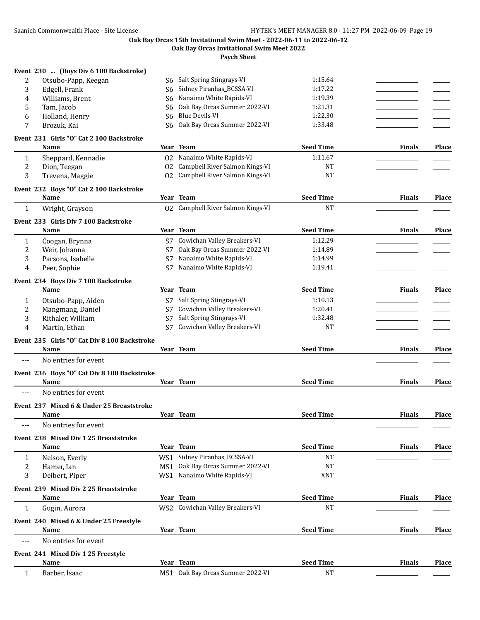**Oak Bay Orcas Invitational Swim Meet 2022**

|              | Event 230  (Boys Div 6 100 Backstroke)          |     |                                   |                               |               |              |
|--------------|-------------------------------------------------|-----|-----------------------------------|-------------------------------|---------------|--------------|
| 2            | Otsubo-Papp, Keegan                             |     | S6 Salt Spring Stingrays-VI       | 1:15.64                       |               |              |
| 3            | Edgell, Frank                                   | S6  | Sidney Piranhas_BCSSA-VI          | 1:17.22                       |               |              |
| 4            | Williams, Brent                                 | S6. | Nanaimo White Rapids-VI           | 1:19.39                       |               |              |
| 5            | Tam, Jacob                                      | S6  | Oak Bay Orcas Summer 2022-VI      | 1:21.31                       |               |              |
| 6            | Holland, Henry                                  | S6  | <b>Blue Devils-VI</b>             | 1:22.30                       |               |              |
| 7            | Brozuk, Kai                                     | S6. | Oak Bay Orcas Summer 2022-VI      | 1:33.48                       |               |              |
|              | Event 231 Girls "O" Cat 2 100 Backstroke        |     |                                   |                               |               |              |
|              | Name                                            |     | Year Team                         | <b>Seed Time</b>              | <b>Finals</b> | Place        |
| 1            | Sheppard, Kennadie                              |     | 02 Nanaimo White Rapids-VI        | 1:11.67                       |               |              |
| 2            | Dion, Teegan                                    | 02  | Campbell River Salmon Kings-VI    | <b>NT</b>                     |               |              |
| 3            | Trevena, Maggie                                 |     | 02 Campbell River Salmon Kings-VI | <b>NT</b>                     |               |              |
|              | Event 232 Boys "O" Cat 2 100 Backstroke<br>Name |     | Year Team                         | <b>Seed Time</b>              | <b>Finals</b> | <b>Place</b> |
| 1            | Wright, Grayson                                 |     | 02 Campbell River Salmon Kings-VI | <b>NT</b>                     |               |              |
|              | Event 233 Girls Div 7 100 Backstroke            |     |                                   |                               |               |              |
|              | Name                                            |     | Year Team                         | <b>Seed Time</b>              | <b>Finals</b> | Place        |
| 1            | Coogan, Brynna                                  |     | S7 Cowichan Valley Breakers-VI    | 1:12.29                       |               |              |
| 2            | Weir, Johanna                                   | S7  | Oak Bay Orcas Summer 2022-VI      | 1:14.89                       |               |              |
| 3            | Parsons, Isabelle                               | S7  | Nanaimo White Rapids-VI           | 1:14.99                       |               |              |
| 4            | Peer, Sophie                                    | S7  | Nanaimo White Rapids-VI           | 1:19.41                       |               |              |
|              | Event 234 Boys Div 7 100 Backstroke             |     |                                   |                               |               |              |
|              | Name                                            |     | Year Team                         | <b>Seed Time</b>              | <b>Finals</b> | Place        |
| $\mathbf{1}$ | Otsubo-Papp, Aiden                              |     | S7 Salt Spring Stingrays-VI       | 1:10.13                       |               |              |
| 2            | Mangmang, Daniel                                |     | S7 Cowichan Valley Breakers-VI    | 1:20.41                       |               |              |
| 3            | Rithaler, William                               | S7  | Salt Spring Stingrays-VI          | 1:32.48                       |               |              |
| 4            | Martin, Ethan                                   | S7  | Cowichan Valley Breakers-VI       | NT                            |               |              |
|              | Event 235 Girls "O" Cat Div 8 100 Backstroke    |     |                                   |                               |               |              |
|              | Name                                            |     | Year Team                         | <b>Seed Time</b>              | <b>Finals</b> | <b>Place</b> |
| ---          | No entries for event                            |     |                                   |                               |               |              |
|              | Event 236 Boys "O" Cat Div 8 100 Backstroke     |     |                                   |                               |               |              |
|              | Name                                            |     | Year Team                         | <b>Seed Time</b>              | <b>Finals</b> | Place        |
| $---$        | No entries for event                            |     |                                   |                               |               |              |
|              | Event 237 Mixed 6 & Under 25 Breaststroke       |     |                                   |                               |               |              |
|              | Name                                            |     | Year Team                         | <b>Seed Time</b>              | <b>Finals</b> | <b>Place</b> |
| $---$        | No entries for event                            |     |                                   |                               |               |              |
|              | Event 238 Mixed Div 1 25 Breaststroke           |     |                                   |                               |               |              |
|              | Name                                            |     | Year Team                         | <b>Seed Time</b>              | <b>Finals</b> | <b>Place</b> |
| 1            | Nelson, Everly                                  |     | WS1 Sidney Piranhas_BCSSA-VI      | <b>NT</b>                     |               |              |
| 2            | Hamer, Ian                                      |     | MS1 Oak Bay Orcas Summer 2022-VI  | <b>NT</b>                     |               |              |
| 3            | Deibert, Piper                                  |     | WS1 Nanaimo White Rapids-VI       | XNT                           |               |              |
|              | Event 239 Mixed Div 2 25 Breaststroke           |     |                                   |                               |               |              |
|              | Name                                            |     | Year Team                         | <b>Seed Time</b><br><b>NT</b> | <b>Finals</b> | <b>Place</b> |
| 1            | Gugin, Aurora                                   |     | WS2 Cowichan Valley Breakers-VI   |                               |               |              |
|              | Event 240 Mixed 6 & Under 25 Freestyle          |     |                                   |                               |               |              |
|              | Name                                            |     | Year Team                         | <b>Seed Time</b>              | <b>Finals</b> | <b>Place</b> |
| ---          | No entries for event                            |     |                                   |                               |               |              |
|              | Event 241 Mixed Div 1 25 Freestyle              |     |                                   |                               |               |              |
|              | Name                                            |     | Year Team                         | <b>Seed Time</b>              | <b>Finals</b> | Place        |
| $\mathbf{1}$ | Barber, Isaac                                   |     | MS1 Oak Bay Orcas Summer 2022-VI  | <b>NT</b>                     |               |              |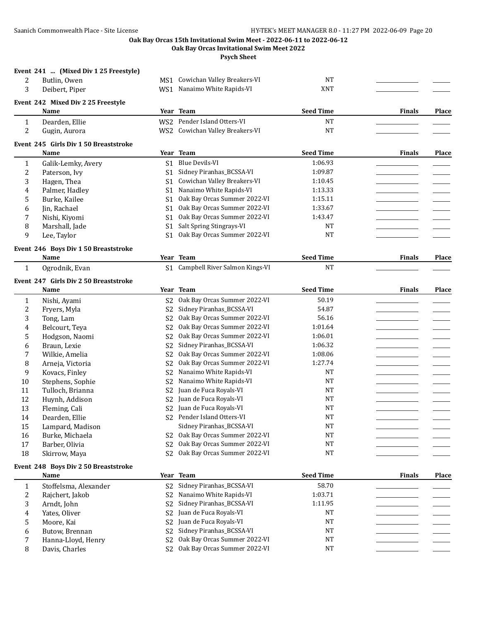**Oak Bay Orcas Invitational Swim Meet 2022**

**Psych Sheet**

#### **Event 241 ... (Mixed Div 1 25 Freestyle)**

| Butlin, Owen   | MS1 Cowichan Valley Breakers-VI | NT  |  |
|----------------|---------------------------------|-----|--|
| Deibert, Piper | WS1 Nanaimo White Rapids-VI     | XNT |  |

# **Event 242 Mixed Div 2 25 Freestyle**

|          | <b>Name</b>    | Year Team                       | <b>Seed Time</b> | Finals | Place |
|----------|----------------|---------------------------------|------------------|--------|-------|
| <b>.</b> | Dearden, Ellie | WS2 Pender Island Otters-VI     | NT               |        |       |
| 4        | Gugin, Aurora  | WS2 Cowichan Valley Breakers-VI | NΤ               |        |       |

#### **Event 245 Girls Div 1 50 Breaststroke**

|    | <b>Name</b>        | Year Team                       | <b>Seed Time</b> | <b>Finals</b> | <b>Place</b> |
|----|--------------------|---------------------------------|------------------|---------------|--------------|
|    | Galik-Lemky, Avery | S1 Blue Devils-VI               | 1:06.93          |               |              |
|    | Paterson, Ivy      | S1 Sidney Piranhas_BCSSA-VI     | 1:09.87          |               |              |
| 3  | Hagen, Thea        | S1 Cowichan Valley Breakers-VI  | 1:10.45          |               |              |
| 4  | Palmer, Hadley     | S1 Nanaimo White Rapids-VI      | 1:13.33          |               |              |
| 5. | Burke, Kailee      | S1 Oak Bay Orcas Summer 2022-VI | 1:15.11          |               |              |
| 6  | Iin. Rachael       | S1 Oak Bay Orcas Summer 2022-VI | 1:33.67          |               |              |
|    | Nishi, Kiyomi      | S1 Oak Bay Orcas Summer 2022-VI | 1:43.47          |               |              |
| 8  | Marshall, Jade     | S1 Salt Spring Stingrays-VI     | NT               |               |              |
| q  | Lee, Taylor        | S1 Oak Bay Orcas Summer 2022-VI | NT               |               |              |
|    |                    |                                 |                  |               |              |

#### **Event 246 Boys Div 1 50 Breaststroke**

**Event 247 Girls Div 2 50 Breaststroke**

**Name Year Team Seed Time Finals Place** 1 Ogrodnik, Evan S1 Campbell River Salmon Kings-VI NT

|    | Name             |                | Year Team                    | <b>Seed Time</b> | <b>Finals</b> | Place |
|----|------------------|----------------|------------------------------|------------------|---------------|-------|
|    | Nishi, Ayami     | S2             | Oak Bay Orcas Summer 2022-VI | 50.19            |               |       |
| 2  | Fryers, Myla     | S <sub>2</sub> | Sidney Piranhas_BCSSA-VI     | 54.87            |               |       |
| 3  | Tong, Lam        | S <sub>2</sub> | Oak Bay Orcas Summer 2022-VI | 56.16            |               |       |
| 4  | Belcourt, Teya   | S <sub>2</sub> | Oak Bay Orcas Summer 2022-VI | 1:01.64          |               |       |
| 5  | Hodgson, Naomi   | S <sub>2</sub> | Oak Bay Orcas Summer 2022-VI | 1:06.01          |               |       |
| 6  | Braun, Lexie     | S <sub>2</sub> | Sidney Piranhas_BCSSA-VI     | 1:06.32          |               |       |
|    | Wilkie, Amelia   | S2             | Oak Bay Orcas Summer 2022-VI | 1:08.06          |               |       |
| 8  | Arneja, Victoria | S <sub>2</sub> | Oak Bay Orcas Summer 2022-VI | 1:27.74          |               |       |
| 9  | Kovacs, Finley   | S <sub>2</sub> | Nanaimo White Rapids-VI      | <b>NT</b>        |               |       |
| 10 | Stephens, Sophie | S2             | Nanaimo White Rapids-VI      | <b>NT</b>        |               |       |
| 11 | Tulloch, Brianna | S2             | Juan de Fuca Royals-VI       | <b>NT</b>        |               |       |
| 12 | Huynh, Addison   | S2             | Juan de Fuca Royals-VI       | <b>NT</b>        |               |       |
| 13 | Fleming, Cali    | S2             | Juan de Fuca Royals-VI       | <b>NT</b>        |               |       |
| 14 | Dearden, Ellie   | S2             | Pender Island Otters-VI      | <b>NT</b>        |               |       |
| 15 | Lampard, Madison |                | Sidney Piranhas_BCSSA-VI     | <b>NT</b>        |               |       |
| 16 | Burke, Michaela  | S2             | Oak Bay Orcas Summer 2022-VI | <b>NT</b>        |               |       |
| 17 | Barber, Olivia   | S2             | Oak Bay Orcas Summer 2022-VI | <b>NT</b>        |               |       |
| 18 | Skirrow, Maya    | S2             | Oak Bay Orcas Summer 2022-VI | NT               |               |       |

#### **Event 248 Boys Div 2 50 Breaststroke**

|   | Name                  |                | Year Team                             | <b>Seed Time</b> | <b>Finals</b> | <b>Place</b> |
|---|-----------------------|----------------|---------------------------------------|------------------|---------------|--------------|
|   | Stoffelsma, Alexander |                | S2 Sidney Piranhas BCSSA-VI           | 58.70            |               |              |
|   | Rajchert, Jakob       |                | S2 Nanaimo White Rapids-VI            | 1:03.71          |               |              |
|   | Arndt, John           |                | S2 Sidney Piranhas BCSSA-VI           | 1:11.95          |               |              |
| 4 | Yates, Oliver         |                | S <sub>2</sub> Juan de Fuca Royals-VI | NT               |               |              |
|   | Moore. Kai            |                | S <sub>2</sub> Juan de Fuca Royals-VI | NT               |               |              |
|   | Butow, Brennan        |                | S2 Sidney Piranhas_BCSSA-VI           | NT               |               |              |
|   | Hanna-Lloyd, Henry    |                | S2 Oak Bay Orcas Summer 2022-VI       | <b>NT</b>        |               |              |
|   | Davis, Charles        | S <sub>2</sub> | Oak Bay Orcas Summer 2022-VI          | NT               |               |              |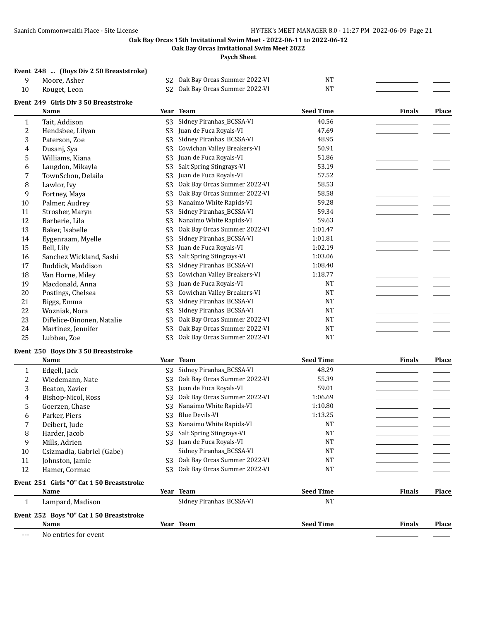**Oak Bay Orcas Invitational Swim Meet 2022**

**Psych Sheet**

## **Event 248 ... (Boys Div 2 50 Breaststroke)**

| Moore, Asher | S2 Oak Bay Orcas Summer 2022-VI | NT |  |
|--------------|---------------------------------|----|--|
| Rouget, Leon | S2 Oak Bay Orcas Summer 2022-VI | NT |  |

|                | Event 249 Girls Div 3 50 Breaststroke |                |                              |                  |               |       |
|----------------|---------------------------------------|----------------|------------------------------|------------------|---------------|-------|
|                | Name                                  |                | Year Team                    | <b>Seed Time</b> | <b>Finals</b> | Place |
| 1              | Tait, Addison                         | S <sub>3</sub> | Sidney Piranhas_BCSSA-VI     | 40.56            |               |       |
| $\overline{c}$ | Hendsbee, Lilyan                      | S <sub>3</sub> | Juan de Fuca Royals-VI       | 47.69            |               |       |
| 3              | Paterson, Zoe                         | S <sub>3</sub> | Sidney Piranhas_BCSSA-VI     | 48.95            |               |       |
| 4              | Dusanj, Sya                           | S <sub>3</sub> | Cowichan Valley Breakers-VI  | 50.91            |               |       |
| 5              | Williams, Kiana                       | S <sub>3</sub> | Juan de Fuca Royals-VI       | 51.86            |               |       |
| 6              | Langdon, Mikayla                      | S3             | Salt Spring Stingrays-VI     | 53.19            |               |       |
| 7              | TownSchon, Delaila                    | S <sub>3</sub> | Juan de Fuca Royals-VI       | 57.52            |               |       |
| 8              | Lawlor, Ivy                           | S <sub>3</sub> | Oak Bay Orcas Summer 2022-VI | 58.53            |               |       |
| 9              | Fortney, Maya                         | S <sub>3</sub> | Oak Bay Orcas Summer 2022-VI | 58.58            |               |       |
| 10             | Palmer, Audrey                        | S <sub>3</sub> | Nanaimo White Rapids-VI      | 59.28            |               |       |
| 11             | Strosher, Maryn                       | S <sub>3</sub> | Sidney Piranhas_BCSSA-VI     | 59.34            |               |       |
| 12             | Barberie, Lila                        | S <sub>3</sub> | Nanaimo White Rapids-VI      | 59.63            |               |       |
| 13             | Baker, Isabelle                       | S <sub>3</sub> | Oak Bay Orcas Summer 2022-VI | 1:01.47          |               |       |
| 14             | Eygenraam, Myelle                     | S <sub>3</sub> | Sidney Piranhas BCSSA-VI     | 1:01.81          |               |       |
| 15             | Bell, Lily                            | S <sub>3</sub> | Juan de Fuca Royals-VI       | 1:02.19          |               |       |
| 16             | Sanchez Wickland, Sashi               | S <sub>3</sub> | Salt Spring Stingrays-VI     | 1:03.06          |               |       |
| 17             | Ruddick, Maddison                     | S <sub>3</sub> | Sidney Piranhas_BCSSA-VI     | 1:08.40          |               |       |
| 18             | Van Horne, Miley                      | S <sub>3</sub> | Cowichan Valley Breakers-VI  | 1:18.77          |               |       |
| 19             | Macdonald, Anna                       | S <sub>3</sub> | Juan de Fuca Royals-VI       | <b>NT</b>        |               |       |
| 20             | Postings, Chelsea                     | S <sub>3</sub> | Cowichan Valley Breakers-VI  | <b>NT</b>        |               |       |
| 21             | Biggs, Emma                           | S <sub>3</sub> | Sidney Piranhas_BCSSA-VI     | <b>NT</b>        |               |       |
| 22             | Wozniak, Nora                         | S <sub>3</sub> | Sidney Piranhas_BCSSA-VI     | NT               |               |       |
| 23             | DiFelice-Oinonen, Natalie             | S <sub>3</sub> | Oak Bay Orcas Summer 2022-VI | <b>NT</b>        |               |       |
| 24             | Martinez, Jennifer                    | S <sub>3</sub> | Oak Bay Orcas Summer 2022-VI | <b>NT</b>        |               |       |
| 25             | Lubben, Zoe                           | S <sub>3</sub> | Oak Bay Orcas Summer 2022-VI | <b>NT</b>        |               |       |

#### **Event 250 Boys Div 3 50 Breaststroke**

|    | Name                                      |    | Year Team                    | <b>Seed Time</b> | <b>Finals</b> | Place        |
|----|-------------------------------------------|----|------------------------------|------------------|---------------|--------------|
|    | Edgell, Jack                              | S3 | Sidney Piranhas_BCSSA-VI     | 48.29            |               |              |
| 2  | Wiedemann, Nate                           | S3 | Oak Bay Orcas Summer 2022-VI | 55.39            |               |              |
| 3  | Beaton, Xavier                            | S3 | Juan de Fuca Royals-VI       | 59.01            |               |              |
| 4  | Bishop-Nicol, Ross                        | S3 | Oak Bay Orcas Summer 2022-VI | 1:06.69          |               |              |
| 5. | Goerzen, Chase                            | S3 | Nanaimo White Rapids-VI      | 1:10.80          |               |              |
| 6  | Parker, Piers                             | S3 | Blue Devils-VI               | 1:13.25          |               |              |
|    | Deibert, Jude                             | S3 | Nanaimo White Rapids-VI      | <b>NT</b>        |               |              |
| 8  | Harder, Jacob                             | S3 | Salt Spring Stingrays-VI     | <b>NT</b>        |               |              |
| 9  | Mills, Adrien                             | S3 | Juan de Fuca Royals-VI       | <b>NT</b>        |               |              |
| 10 | Csizmadia, Gabriel (Gabe)                 |    | Sidney Piranhas BCSSA-VI     | <b>NT</b>        |               |              |
| 11 | Johnston, Jamie                           | S3 | Oak Bay Orcas Summer 2022-VI | <b>NT</b>        |               |              |
| 12 | Hamer, Cormac                             | S3 | Oak Bay Orcas Summer 2022-VI | <b>NT</b>        |               |              |
|    | Event 251 Girls "O" Cat 1 50 Breaststroke |    |                              |                  |               |              |
|    | <b>Name</b>                               |    | Year Team                    | <b>Seed Time</b> | <b>Finals</b> | <b>Place</b> |
|    | Lampard, Madison                          |    | Sidney Piranhas BCSSA-VI     | <b>NT</b>        |               |              |

**Event 252 Boys "O" Cat 1 50 Breaststroke Name Year Team Seed Time Finals Place**

--- No entries for event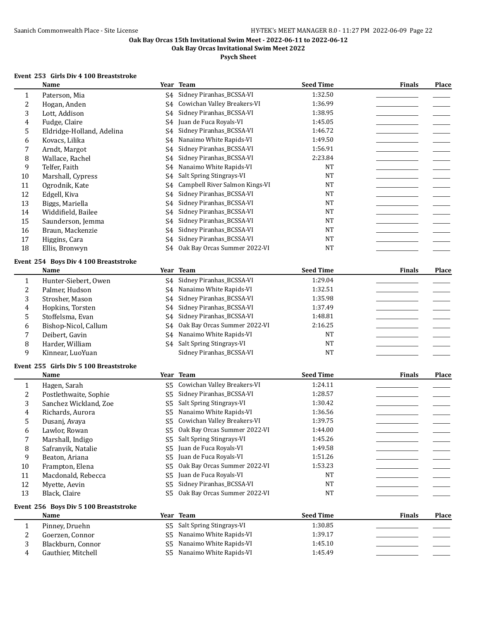**Oak Bay Orcas Invitational Swim Meet 2022**

# **Psych Sheet**

# **Event 253 Girls Div 4 100 Breaststroke**

|              | Name                                          |                | Year Team                       | <b>Seed Time</b> | <b>Finals</b> | Place |
|--------------|-----------------------------------------------|----------------|---------------------------------|------------------|---------------|-------|
| 1            | Paterson, Mia                                 | S4             | Sidney Piranhas_BCSSA-VI        | 1:32.50          |               |       |
| 2            | Hogan, Anden                                  | S4             | Cowichan Valley Breakers-VI     | 1:36.99          |               |       |
| 3            | Lott, Addison                                 | S4             | Sidney Piranhas_BCSSA-VI        | 1:38.95          |               |       |
| 4            | Fudge, Claire                                 | S4             | Juan de Fuca Royals-VI          | 1:45.05          |               |       |
| 5            | Eldridge-Holland, Adelina                     | S4             | Sidney Piranhas_BCSSA-VI        | 1:46.72          |               |       |
| 6            | Kovacs, Lilika                                | S4             | Nanaimo White Rapids-VI         | 1:49.50          |               |       |
| 7            | Arndt, Margot                                 | S4             | Sidney Piranhas_BCSSA-VI        | 1:56.91          |               |       |
| 8            | Wallace, Rachel                               | S4             | Sidney Piranhas_BCSSA-VI        | 2:23.84          |               |       |
| 9            | Telfer, Faith                                 | S4             | Nanaimo White Rapids-VI         | <b>NT</b>        |               |       |
| 10           | Marshall, Cypress                             | S4             | Salt Spring Stingrays-VI        | <b>NT</b>        |               |       |
| 11           | Ogrodnik, Kate                                | S4             | Campbell River Salmon Kings-VI  | <b>NT</b>        |               |       |
| 12           | Edgell, Kiva                                  | S4             | Sidney Piranhas_BCSSA-VI        | <b>NT</b>        |               |       |
| 13           | Biggs, Mariella                               | S4             | Sidney Piranhas_BCSSA-VI        | <b>NT</b>        |               |       |
| 14           | Widdifield, Bailee                            | S4             | Sidney Piranhas_BCSSA-VI        | <b>NT</b>        |               |       |
| 15           | Saunderson, Jemma                             | S4             | Sidney Piranhas_BCSSA-VI        | <b>NT</b>        |               |       |
| 16           | Braun, Mackenzie                              | S4             | Sidney Piranhas_BCSSA-VI        | <b>NT</b>        |               |       |
| 17           | Higgins, Cara                                 | S4             | Sidney Piranhas_BCSSA-VI        | <b>NT</b>        |               |       |
| 18           | Ellis, Bronwyn                                | S4             | Oak Bay Orcas Summer 2022-VI    | <b>NT</b>        |               |       |
|              |                                               |                |                                 |                  |               |       |
|              | Event 254 Boys Div 4 100 Breaststroke         |                |                                 |                  |               |       |
|              | Name                                          |                | Year Team                       | <b>Seed Time</b> | <b>Finals</b> | Place |
| $\mathbf{1}$ | Hunter-Siebert, Owen                          | S4             | Sidney Piranhas_BCSSA-VI        | 1:29.04          |               |       |
| 2            | Palmer, Hudson                                | S4             | Nanaimo White Rapids-VI         | 1:32.51          |               |       |
| 3            | Strosher, Mason                               | S4             | Sidney Piranhas_BCSSA-VI        | 1:35.98          |               |       |
| 4            | Hopkins, Torsten                              | S4             | Sidney Piranhas_BCSSA-VI        | 1:37.49          |               |       |
| 5            | Stoffelsma, Evan                              | S4             | Sidney Piranhas_BCSSA-VI        | 1:48.81          |               |       |
| 6            | Bishop-Nicol, Callum                          | S4             | Oak Bay Orcas Summer 2022-VI    | 2:16.25          |               |       |
| 7            | Deibert, Gavin                                | S4             | Nanaimo White Rapids-VI         | <b>NT</b>        |               |       |
| 8            | Harder, William                               |                | S4 Salt Spring Stingrays-VI     | <b>NT</b>        |               |       |
| 9            | Kinnear, LuoYuan                              |                | Sidney Piranhas_BCSSA-VI        | <b>NT</b>        |               |       |
|              |                                               |                |                                 |                  |               |       |
|              | Event 255 Girls Div 5 100 Breaststroke        |                |                                 |                  |               |       |
|              | Name                                          |                | Year Team                       | <b>Seed Time</b> | <b>Finals</b> | Place |
| 1            | Hagen, Sarah                                  | S5             | Cowichan Valley Breakers-VI     | 1:24.11          |               |       |
| 2            | Postlethwaite, Sophie                         | S <sub>5</sub> | Sidney Piranhas_BCSSA-VI        | 1:28.57          |               |       |
| 3            | Sanchez Wickland, Zoe                         | S <sub>5</sub> | Salt Spring Stingrays-VI        | 1:30.42          |               |       |
| 4            | Richards, Aurora                              | S5             | Nanaimo White Rapids-VI         | 1:36.56          |               |       |
| 5            | Dusanj, Avaya                                 | S5             | Cowichan Valley Breakers-VI     | 1:39.75          |               |       |
| 6            | Lawlor, Rowan                                 |                | S5 Oak Bay Orcas Summer 2022-VI | 1:44.00          |               |       |
| 7            | Marshall, Indigo                              |                | S5 Salt Spring Stingrays-VI     | 1:45.26          |               |       |
| 8            | Safranyik, Natalie                            | S5             | Juan de Fuca Royals-VI          | 1:49.58          |               |       |
| 9            | Beaton, Ariana                                | S5             | Juan de Fuca Royals-VI          | 1:51.26          |               |       |
| 10           | Frampton, Elena                               | S5             | Oak Bay Orcas Summer 2022-VI    | 1:53.23          |               |       |
| 11           | Macdonald, Rebecca                            | S5             | Juan de Fuca Royals-VI          | <b>NT</b>        |               |       |
| 12           | Myette, Aevin                                 | S <sub>5</sub> | Sidney Piranhas_BCSSA-VI        | <b>NT</b>        |               |       |
| 13           | Black, Claire                                 | S <sub>5</sub> | Oak Bay Orcas Summer 2022-VI    | NT               |               |       |
|              |                                               |                |                                 |                  |               |       |
|              | Event 256 Boys Div 5 100 Breaststroke<br>Name |                | Year Team                       | <b>Seed Time</b> | <b>Finals</b> | Place |
|              | Pinney, Druehn                                | S <sub>5</sub> | Salt Spring Stingrays-VI        | 1:30.85          |               |       |
| 1            |                                               | S <sub>5</sub> | Nanaimo White Rapids-VI         | 1:39.17          |               |       |
| 2            | Goerzen, Connor                               |                | Nanaimo White Rapids-VI         | 1:45.10          |               |       |
| 3            | Blackburn, Connor                             | S <sub>5</sub> | S5 Nanaimo White Rapids-VI      |                  |               |       |
| 4            | Gauthier, Mitchell                            |                |                                 | 1:45.49          |               |       |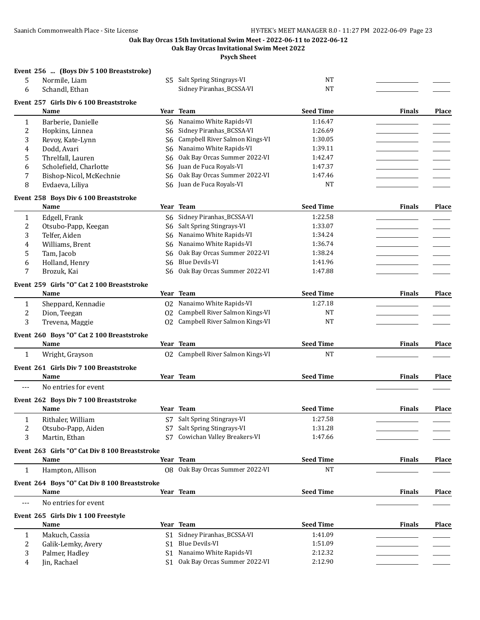**Oak Bay Orcas Invitational Swim Meet 2022**

**Psych Sheet**

## **Event 256 ... (Boys Div 5 100 Breaststroke)**

| 5              | Normile, Liam                                  |                | S5 Salt Spring Stingrays-VI       | <b>NT</b>        |               |              |
|----------------|------------------------------------------------|----------------|-----------------------------------|------------------|---------------|--------------|
| 6              | Schandl, Ethan                                 |                | Sidney Piranhas_BCSSA-VI          | <b>NT</b>        |               |              |
|                | Event 257 Girls Div 6 100 Breaststroke         |                |                                   |                  |               |              |
|                | Name                                           |                | Year Team                         | <b>Seed Time</b> | <b>Finals</b> | <b>Place</b> |
| 1              | Barberie, Danielle                             | S <sub>6</sub> | Nanaimo White Rapids-VI           | 1:16.47          |               |              |
| 2              | Hopkins, Linnea                                | S <sub>6</sub> | Sidney Piranhas_BCSSA-VI          | 1:26.69          |               |              |
| 3              | Revoy, Kate-Lynn                               | S6             | Campbell River Salmon Kings-VI    | 1:30.05          |               |              |
| 4              | Dodd, Avari                                    | S6             | Nanaimo White Rapids-VI           | 1:39.11          |               |              |
| 5              | Threlfall, Lauren                              | S6             | Oak Bay Orcas Summer 2022-VI      | 1:42.47          |               |              |
| 6              | Scholefield, Charlotte                         | S6             | Juan de Fuca Royals-VI            | 1:47.37          |               |              |
| 7              | Bishop-Nicol, McKechnie                        | S6             | Oak Bay Orcas Summer 2022-VI      | 1:47.46          |               |              |
| 8              | Evdaeva, Liliya                                | S6             | Juan de Fuca Royals-VI            | <b>NT</b>        |               |              |
|                | Event 258 Boys Div 6 100 Breaststroke          |                |                                   |                  |               |              |
|                | Name                                           |                | Year Team                         | <b>Seed Time</b> | Finals        | Place        |
| 1              | Edgell, Frank                                  | S6             | Sidney Piranhas_BCSSA-VI          | 1:22.58          |               |              |
| 2              | Otsubo-Papp, Keegan                            | S <sub>6</sub> | Salt Spring Stingrays-VI          | 1:33.07          |               |              |
| 3              | Telfer, Aiden                                  | S <sub>6</sub> | Nanaimo White Rapids-VI           | 1:34.24          |               |              |
| 4              | Williams, Brent                                | S6             | Nanaimo White Rapids-VI           | 1:36.74          |               |              |
| 5              | Tam, Jacob                                     | S6             | Oak Bay Orcas Summer 2022-VI      | 1:38.24          |               |              |
| 6              | Holland, Henry                                 | S <sub>6</sub> | <b>Blue Devils-VI</b>             | 1:41.96          |               |              |
| 7              | Brozuk, Kai                                    | S6             | Oak Bay Orcas Summer 2022-VI      | 1:47.88          |               |              |
|                | Event 259 Girls "O" Cat 2 100 Breaststroke     |                |                                   |                  |               |              |
|                | <b>Name</b>                                    |                | Year Team                         | <b>Seed Time</b> | <b>Finals</b> | <b>Place</b> |
| 1              | Sheppard, Kennadie                             |                | 02 Nanaimo White Rapids-VI        | 1:27.18          |               |              |
| 2              | Dion, Teegan                                   |                | 02 Campbell River Salmon Kings-VI | NT               |               |              |
| 3              | Trevena, Maggie                                |                | 02 Campbell River Salmon Kings-VI | NT               |               |              |
|                | Event 260 Boys "O" Cat 2 100 Breaststroke      |                |                                   |                  |               |              |
|                | Name                                           |                | Year Team                         | <b>Seed Time</b> | <b>Finals</b> | <b>Place</b> |
| 1              | Wright, Grayson                                |                | 02 Campbell River Salmon Kings-VI | <b>NT</b>        |               |              |
|                |                                                |                |                                   |                  |               |              |
|                | Event 261 Girls Div 7 100 Breaststroke         |                |                                   |                  |               |              |
|                | Name                                           |                | Year Team                         | <b>Seed Time</b> | <b>Finals</b> | Place        |
| $---$          | No entries for event                           |                |                                   |                  |               |              |
|                | Event 262 Boys Div 7 100 Breaststroke          |                |                                   |                  |               |              |
|                | Name                                           |                | Year Team                         | <b>Seed Time</b> | <b>Finals</b> | <b>Place</b> |
| 1              | Rithaler, William                              |                | S7 Salt Spring Stingrays-VI       | 1:27.58          |               |              |
| $\overline{c}$ | Otsubo-Papp, Aiden                             |                | S7 Salt Spring Stingrays-VI       | 1:31.28          |               |              |
| 3              | Martin, Ethan                                  |                | S7 Cowichan Valley Breakers-VI    | 1:47.66          |               |              |
|                | Event 263 Girls "O" Cat Div 8 100 Breaststroke |                |                                   |                  |               |              |
|                | Name                                           |                | Year Team                         | <b>Seed Time</b> | <b>Finals</b> | Place        |
| $\mathbf{1}$   | Hampton, Allison                               |                | Q8 Oak Bay Orcas Summer 2022-VI   | <b>NT</b>        |               |              |
|                | Event 264 Boys "O" Cat Div 8 100 Breaststroke  |                |                                   |                  |               |              |
|                | Name                                           |                | Year Team                         | <b>Seed Time</b> | <b>Finals</b> | Place        |
| ---            | No entries for event                           |                |                                   |                  |               |              |
|                |                                                |                |                                   |                  |               |              |
|                | Event 265 Girls Div 1 100 Freestyle<br>Name    |                | Year Team                         | <b>Seed Time</b> | <b>Finals</b> | <b>Place</b> |
| 1              | Makuch, Cassia                                 |                | S1 Sidney Piranhas_BCSSA-VI       | 1:41.09          |               |              |
| 2              | Galik-Lemky, Avery                             | S <sub>1</sub> | <b>Blue Devils-VI</b>             | 1:51.09          |               |              |
| 3              | Palmer, Hadley                                 | S1             | Nanaimo White Rapids-VI           | 2:12.32          |               |              |
| 4              | Jin, Rachael                                   |                | S1 Oak Bay Orcas Summer 2022-VI   | 2:12.90          |               |              |
|                |                                                |                |                                   |                  |               |              |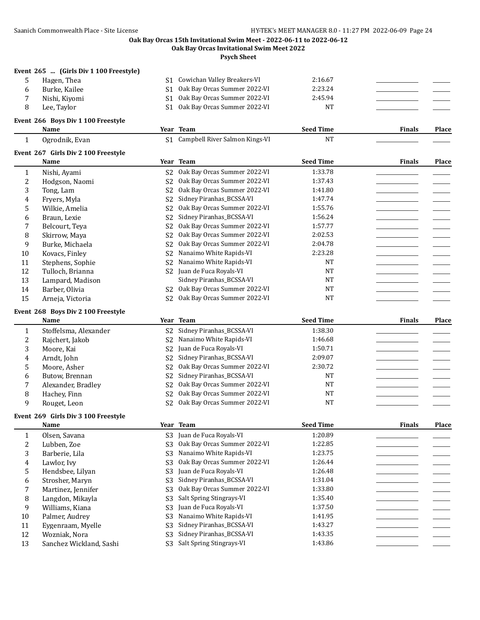**Oak Bay Orcas Invitational Swim Meet 2022**

**Psych Sheet**

#### **Event 265 ... (Girls Div 1 100 Freestyle)**

5 Hagen, Thea S1 Cowichan Valley Breakers-VI 2:16.67 6 Burke, Kailee S1 Oak Bay Orcas Summer 2022-VI 2:23.24 7 Nishi, Kiyomi S1 Oak Bay Orcas Summer 2022-VI 2:45.94 8 Lee, Taylor S1 Oak Bay Orcas Summer 2022-VI NT

## **Event 266 Boys Div 1 100 Freestyle**

#### **Name Year Team Seed Time Finals Place** 1 Ogrodnik, Evan S1 Campbell River Salmon Kings-VI NT

|    | Event 267 Girls Div 2 100 Freestyle |                |                              |                  |               |       |
|----|-------------------------------------|----------------|------------------------------|------------------|---------------|-------|
|    | Name                                |                | Year Team                    | <b>Seed Time</b> | <b>Finals</b> | Place |
|    | Nishi, Ayami                        | S2             | Oak Bay Orcas Summer 2022-VI | 1:33.78          |               |       |
| 2  | Hodgson, Naomi                      | S <sub>2</sub> | Oak Bay Orcas Summer 2022-VI | 1:37.43          |               |       |
| 3  | Tong, Lam                           | S <sub>2</sub> | Oak Bay Orcas Summer 2022-VI | 1:41.80          |               |       |
| 4  | Fryers, Myla                        | S <sub>2</sub> | Sidney Piranhas_BCSSA-VI     | 1:47.74          |               |       |
| 5  | Wilkie, Amelia                      | S <sub>2</sub> | Oak Bay Orcas Summer 2022-VI | 1:55.76          |               |       |
| 6  | Braun, Lexie                        | S <sub>2</sub> | Sidney Piranhas BCSSA-VI     | 1:56.24          |               |       |
| 7  | Belcourt, Teva                      | S <sub>2</sub> | Oak Bay Orcas Summer 2022-VI | 1:57.77          |               |       |
| 8  | Skirrow, Maya                       | S <sub>2</sub> | Oak Bay Orcas Summer 2022-VI | 2:02.53          |               |       |
| 9  | Burke, Michaela                     | S <sub>2</sub> | Oak Bay Orcas Summer 2022-VI | 2:04.78          |               |       |
| 10 | Kovacs, Finley                      | S <sub>2</sub> | Nanaimo White Rapids-VI      | 2:23.28          |               |       |
| 11 | Stephens, Sophie                    | S <sub>2</sub> | Nanaimo White Rapids-VI      | <b>NT</b>        |               |       |
| 12 | Tulloch, Brianna                    | S2             | Juan de Fuca Royals-VI       | <b>NT</b>        |               |       |
| 13 | Lampard, Madison                    |                | Sidney Piranhas_BCSSA-VI     | <b>NT</b>        |               |       |
| 14 | Barber, Olivia                      | S <sub>2</sub> | Oak Bay Orcas Summer 2022-VI | <b>NT</b>        |               |       |
| 15 | Arneja, Victoria                    | S2             | Oak Bay Orcas Summer 2022-VI | <b>NT</b>        |               |       |

#### **Event 268 Boys Div 2 100 Freestyle**

|    | Name                  | Year Team                                   | <b>Seed Time</b> | <b>Finals</b> | Place |
|----|-----------------------|---------------------------------------------|------------------|---------------|-------|
|    | Stoffelsma, Alexander | S2 Sidney Piranhas BCSSA-VI                 | 1:38.30          |               |       |
|    | Rajchert, Jakob       | S <sub>2</sub> Nanaimo White Rapids-VI      | 1:46.68          |               |       |
| 3  | Moore, Kai            | S2 Juan de Fuca Royals-VI                   | 1:50.71          |               |       |
| 4  | Arndt, John           | S2 Sidney Piranhas BCSSA-VI                 | 2:09.07          |               |       |
| 5. | Moore, Asher          | S <sub>2</sub> Oak Bay Orcas Summer 2022-VI | 2:30.72          |               |       |
| 6  | Butow, Brennan        | S2 Sidney Piranhas_BCSSA-VI                 | NT               |               |       |
|    | Alexander, Bradley    | S2 Oak Bay Orcas Summer 2022-VI             | NT               |               |       |
| 8  | Hachey, Finn          | S2 Oak Bay Orcas Summer 2022-VI             | <b>NT</b>        |               |       |
| q  | Rouget, Leon          | S <sub>2</sub> Oak Bay Orcas Summer 2022-VI | <b>NT</b>        |               |       |

#### **Event 269 Girls Div 3 100 Freestyle**

|    | Name                    |                | Year Team                    | <b>Seed Time</b> | <b>Finals</b> | Place |
|----|-------------------------|----------------|------------------------------|------------------|---------------|-------|
|    | Olsen, Savana           | S3             | Juan de Fuca Royals-VI       | 1:20.89          |               |       |
|    | Lubben. Zoe             | S3             | Oak Bay Orcas Summer 2022-VI | 1:22.85          |               |       |
| 3  | Barberie, Lila          | S <sub>3</sub> | Nanaimo White Rapids-VI      | 1:23.75          |               |       |
| 4  | Lawlor, Ivy             | S3             | Oak Bay Orcas Summer 2022-VI | 1:26.44          |               |       |
| 5  | Hendsbee, Lilyan        | S3.            | Juan de Fuca Royals-VI       | 1:26.48          |               |       |
| 6  | Strosher, Maryn         | S <sub>3</sub> | Sidney Piranhas BCSSA-VI     | 1:31.04          |               |       |
|    | Martinez, Jennifer      | S3             | Oak Bay Orcas Summer 2022-VI | 1:33.80          |               |       |
| 8  | Langdon, Mikayla        | S3             | Salt Spring Stingrays-VI     | 1:35.40          |               |       |
| 9  | Williams, Kiana         | S3             | Juan de Fuca Royals-VI       | 1:37.50          |               |       |
| 10 | Palmer, Audrey          | S3             | Nanaimo White Rapids-VI      | 1:41.95          |               |       |
| 11 | Eygenraam, Myelle       | S3             | Sidney Piranhas BCSSA-VI     | 1:43.27          |               |       |
| 12 | Wozniak, Nora           | S3             | Sidney Piranhas BCSSA-VI     | 1:43.35          |               |       |
| 13 | Sanchez Wickland, Sashi | S3             | Salt Spring Stingrays-VI     | 1:43.86          |               |       |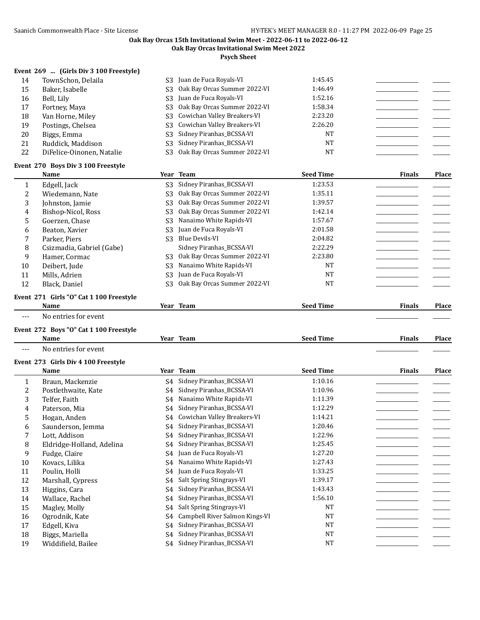**Oak Bay Orcas Invitational Swim Meet 2022**

**Psych Sheet**

## **Event 269 ... (Girls Div 3 100 Freestyle)**

| 14 | TownSchon, Delaila        | S <sub>3</sub> Juan de Fuca Royals-VI | 1:45.45   |  |
|----|---------------------------|---------------------------------------|-----------|--|
| 15 | Baker, Isabelle           | S3 Oak Bay Orcas Summer 2022-VI       | 1:46.49   |  |
| 16 | Bell. Lily                | S3 Juan de Fuca Royals-VI             | 1:52.16   |  |
| 17 | Fortney, Maya             | S3 Oak Bay Orcas Summer 2022-VI       | 1:58.34   |  |
| 18 | Van Horne, Miley          | S3 Cowichan Valley Breakers-VI        | 2:23.20   |  |
| 19 | Postings, Chelsea         | S3 Cowichan Valley Breakers-VI        | 2:26.20   |  |
| 20 | Biggs, Emma               | S3 Sidney Piranhas_BCSSA-VI           | <b>NT</b> |  |
| 21 | Ruddick, Maddison         | S3 Sidney Piranhas BCSSA-VI           | NT        |  |
| 22 | DiFelice-Oinonen, Natalie | S3 Oak Bay Orcas Summer 2022-VI       | NT        |  |
|    |                           |                                       |           |  |

## **Event 270 Boys Div 3 100 Freestyle**

|    | Name                      |                | Year Team                    | <b>Seed Time</b> | <b>Finals</b> | <b>Place</b> |
|----|---------------------------|----------------|------------------------------|------------------|---------------|--------------|
|    | Edgell, Jack              | S3             | Sidney Piranhas_BCSSA-VI     | 1:23.53          |               |              |
|    | Wiedemann, Nate           | S3             | Oak Bay Orcas Summer 2022-VI | 1:35.11          |               |              |
| 3  | Johnston, Jamie           | S <sub>3</sub> | Oak Bay Orcas Summer 2022-VI | 1:39.57          |               |              |
| 4  | Bishop-Nicol, Ross        | S3             | Oak Bay Orcas Summer 2022-VI | 1:42.14          |               |              |
| 5  | Goerzen, Chase            | S <sub>3</sub> | Nanaimo White Rapids-VI      | 1:57.67          |               |              |
| 6  | Beaton, Xavier            | S <sub>3</sub> | Juan de Fuca Royals-VI       | 2:01.58          |               |              |
| 7  | Parker, Piers             | S <sub>3</sub> | Blue Devils-VI               | 2:04.82          |               |              |
| 8  | Csizmadia, Gabriel (Gabe) |                | Sidney Piranhas BCSSA-VI     | 2:22.29          |               |              |
| 9  | Hamer, Cormac             | S <sub>3</sub> | Oak Bay Orcas Summer 2022-VI | 2:23.80          |               |              |
| 10 | Deibert, Jude             | S <sub>3</sub> | Nanaimo White Rapids-VI      | NT               |               |              |
| 11 | Mills, Adrien             | S3             | Juan de Fuca Royals-VI       | <b>NT</b>        |               |              |
| 12 | Black, Daniel             | S3             | Oak Bay Orcas Summer 2022-VI | NT               |               |              |

# **Event 271 Girls "O" Cat 1 100 Freestyle**

|     | Name                      | $tan$<br>Team<br>.cai | 'Time<br>seed | <b>Finals</b> | <b>Place</b> |
|-----|---------------------------|-----------------------|---------------|---------------|--------------|
| --- | No entries for event<br>. |                       |               |               | ______       |

## **Event 272 Boys "O" Cat 1 100 Freestyle**

|    | <b>Name</b>                         |    | Year Team                      | <b>Seed Time</b> | <b>Finals</b> | Place |
|----|-------------------------------------|----|--------------------------------|------------------|---------------|-------|
|    | No entries for event                |    |                                |                  |               |       |
|    | Event 273 Girls Div 4 100 Freestyle |    |                                |                  |               |       |
|    | Name                                |    | Year Team                      | <b>Seed Time</b> | <b>Finals</b> | Place |
| 1  | Braun, Mackenzie                    | S4 | Sidney Piranhas_BCSSA-VI       | 1:10.16          |               |       |
| 2  | Postlethwaite, Kate                 | S4 | Sidney Piranhas_BCSSA-VI       | 1:10.96          |               |       |
| 3  | Telfer, Faith                       | S4 | Nanaimo White Rapids-VI        | 1:11.39          |               |       |
| 4  | Paterson, Mia                       | S4 | Sidney Piranhas_BCSSA-VI       | 1:12.29          |               |       |
| 5  | Hogan, Anden                        | S4 | Cowichan Valley Breakers-VI    | 1:14.21          |               |       |
| 6  | Saunderson, Jemma                   | S4 | Sidney Piranhas_BCSSA-VI       | 1:20.46          |               |       |
| 7  | Lott, Addison                       | S4 | Sidney Piranhas_BCSSA-VI       | 1:22.96          |               |       |
| 8  | Eldridge-Holland, Adelina           | S4 | Sidney Piranhas_BCSSA-VI       | 1:25.45          |               |       |
| 9  | Fudge, Claire                       | S4 | Juan de Fuca Royals-VI         | 1:27.20          |               |       |
| 10 | Kovacs, Lilika                      | S4 | Nanaimo White Rapids-VI        | 1:27.43          |               |       |
| 11 | Poulin, Holli                       | S4 | Juan de Fuca Royals-VI         | 1:33.25          |               |       |
| 12 | Marshall, Cypress                   | S4 | Salt Spring Stingrays-VI       | 1:39.17          |               |       |
| 13 | Higgins, Cara                       | S4 | Sidney Piranhas_BCSSA-VI       | 1:43.43          |               |       |
| 14 | Wallace, Rachel                     | S4 | Sidney Piranhas_BCSSA-VI       | 1:56.10          |               |       |
| 15 | Magley, Molly                       | S4 | Salt Spring Stingrays-VI       | <b>NT</b>        |               |       |
| 16 | Ogrodnik, Kate                      | S4 | Campbell River Salmon Kings-VI | <b>NT</b>        |               |       |
| 17 | Edgell, Kiva                        | S4 | Sidney Piranhas_BCSSA-VI       | <b>NT</b>        |               |       |
| 18 | Biggs, Mariella                     | S4 | Sidney Piranhas_BCSSA-VI       | <b>NT</b>        |               |       |
| 19 | Widdifield, Bailee                  | S4 | Sidney Piranhas_BCSSA-VI       | <b>NT</b>        |               |       |
|    |                                     |    |                                |                  |               |       |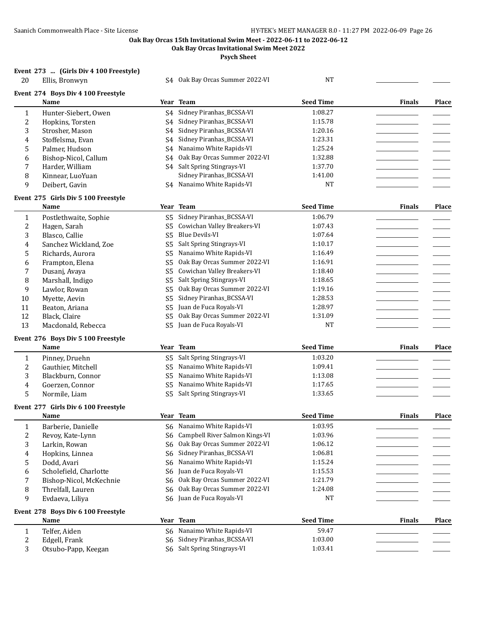20 S4 Oak Bay Orcas Summer 2022-VI NT

**Oak Bay Orcas Invitational Swim Meet 2022**

**Psych Sheet**

## **Event 273 ... (Girls Div 4 100 Freestyle)**

| --------- |                |  |  |
|-----------|----------------|--|--|
| 20        | Ellis, Bronwyn |  |  |

|  | Event 274 Boys Div 4 100 Freestyle |
|--|------------------------------------|
|  |                                    |

|              | Event 274 Boys Div 4 100 Freestyle<br>Name |                | Year Team                         | <b>Seed Time</b> | <b>Finals</b> | Place        |
|--------------|--------------------------------------------|----------------|-----------------------------------|------------------|---------------|--------------|
| $\mathbf{1}$ | Hunter-Siebert, Owen                       |                | S4 Sidney Piranhas_BCSSA-VI       | 1:08.27          |               |              |
| 2            | Hopkins, Torsten                           | S4             | Sidney Piranhas_BCSSA-VI          | 1:15.78          |               |              |
| 3            | Strosher, Mason                            | S4             | Sidney Piranhas_BCSSA-VI          | 1:20.16          |               |              |
| 4            | Stoffelsma, Evan                           | S <sub>4</sub> | Sidney Piranhas_BCSSA-VI          | 1:23.31          |               |              |
| 5            | Palmer, Hudson                             | S <sub>4</sub> | Nanaimo White Rapids-VI           | 1:25.24          |               |              |
| 6            | Bishop-Nicol, Callum                       | S <sub>4</sub> | Oak Bay Orcas Summer 2022-VI      | 1:32.88          |               |              |
| 7            | Harder, William                            |                | S4 Salt Spring Stingrays-VI       | 1:37.70          |               |              |
| 8            | Kinnear, LuoYuan                           |                | Sidney Piranhas_BCSSA-VI          | 1:41.00          |               |              |
| 9            | Deibert, Gavin                             |                | S4 Nanaimo White Rapids-VI        | <b>NT</b>        |               |              |
|              | Event 275 Girls Div 5 100 Freestyle        |                |                                   |                  |               |              |
|              | Name                                       |                | Year Team                         | <b>Seed Time</b> | <b>Finals</b> | Place        |
| $\mathbf{1}$ | Postlethwaite, Sophie                      |                | S5 Sidney Piranhas_BCSSA-VI       | 1:06.79          |               |              |
| 2            | Hagen, Sarah                               | S5             | Cowichan Valley Breakers-VI       | 1:07.43          |               |              |
| 3            | Blasco, Callie                             | S <sub>5</sub> | Blue Devils-VI                    | 1:07.64          |               |              |
| 4            | Sanchez Wickland, Zoe                      | S5             | Salt Spring Stingrays-VI          | 1:10.17          |               |              |
| 5            | Richards, Aurora                           | S <sub>5</sub> | Nanaimo White Rapids-VI           | 1:16.49          |               |              |
| 6            | Frampton, Elena                            | S5             | Oak Bay Orcas Summer 2022-VI      | 1:16.91          |               |              |
| 7            | Dusanj, Avaya                              | S5             | Cowichan Valley Breakers-VI       | 1:18.40          |               |              |
| 8            | Marshall, Indigo                           | S <sub>5</sub> | Salt Spring Stingrays-VI          | 1:18.65          |               |              |
| 9            | Lawlor, Rowan                              | S <sub>5</sub> | Oak Bay Orcas Summer 2022-VI      | 1:19.16          |               |              |
| 10           | Myette, Aevin                              | S5             | Sidney Piranhas_BCSSA-VI          | 1:28.53          |               |              |
| 11           | Beaton, Ariana                             | S <sub>5</sub> | Juan de Fuca Royals-VI            | 1:28.97          |               |              |
| 12           | Black, Claire                              | S <sub>5</sub> | Oak Bay Orcas Summer 2022-VI      | 1:31.09          |               |              |
| 13           | Macdonald, Rebecca                         | S <sub>5</sub> | Juan de Fuca Royals-VI            | <b>NT</b>        |               |              |
|              | Event 276 Boys Div 5 100 Freestyle         |                |                                   |                  |               |              |
|              | Name                                       |                | Year Team                         | <b>Seed Time</b> | <b>Finals</b> | <b>Place</b> |
| $\mathbf{1}$ | Pinney, Druehn                             |                | S5 Salt Spring Stingrays-VI       | 1:03.20          |               |              |
| 2            | Gauthier, Mitchell                         | S <sub>5</sub> | Nanaimo White Rapids-VI           | 1:09.41          |               |              |
| 3            | Blackburn, Connor                          | S5             | Nanaimo White Rapids-VI           | 1:13.08          |               |              |
| 4            | Goerzen, Connor                            | S5             | Nanaimo White Rapids-VI           | 1:17.65          |               |              |
| 5            | Normile, Liam                              | S <sub>5</sub> | Salt Spring Stingrays-VI          | 1:33.65          |               |              |
|              |                                            |                |                                   |                  |               |              |
|              | Event 277 Girls Div 6 100 Freestyle        |                |                                   |                  |               |              |
|              | Name                                       |                | Year Team                         | <b>Seed Time</b> | <b>Finals</b> | Place        |
| $\mathbf{1}$ | Barberie, Danielle                         |                | S6 Nanaimo White Rapids-VI        | 1:03.95          |               |              |
| 2            | Revoy, Kate-Lynn                           |                | S6 Campbell River Salmon Kings-VI | 1:03.96          |               |              |
| 3            | Larkin, Rowan                              |                | S6 Oak Bay Orcas Summer 2022-VI   | 1:06.12          |               |              |
| 4            | Hopkins, Linnea                            |                | S6 Sidney Piranhas_BCSSA-VI       | 1:06.81          |               |              |
| 5            | Dodd, Avari                                | S6             | Nanaimo White Rapids-VI           | 1:15.24          |               |              |
| 6            | Scholefield, Charlotte                     | S6             | Juan de Fuca Royals-VI            | 1:15.53          |               |              |
| 7            | Bishop-Nicol, McKechnie                    | S6             | Oak Bay Orcas Summer 2022-VI      | 1:21.79          |               |              |
| 8            | Threlfall, Lauren                          | S6             | Oak Bay Orcas Summer 2022-VI      | 1:24.08          |               |              |
| 9            | Evdaeva, Liliya                            | S6             | Juan de Fuca Royals-VI            | NT               |               |              |
|              | Event 278 Boys Div 6 100 Freestyle         |                |                                   |                  |               |              |
|              | Name                                       |                | Year Team                         | <b>Seed Time</b> | <b>Finals</b> | Place        |
| 1            | Telfer, Aiden                              | S6             | Nanaimo White Rapids-VI           | 59.47            |               |              |
| 2            | Edgell, Frank                              |                | S6 Sidney Piranhas_BCSSA-VI       | 1:03.00          |               |              |
| 3            | Otsubo-Papp, Keegan                        |                | S6 Salt Spring Stingrays-VI       | 1:03.41          |               |              |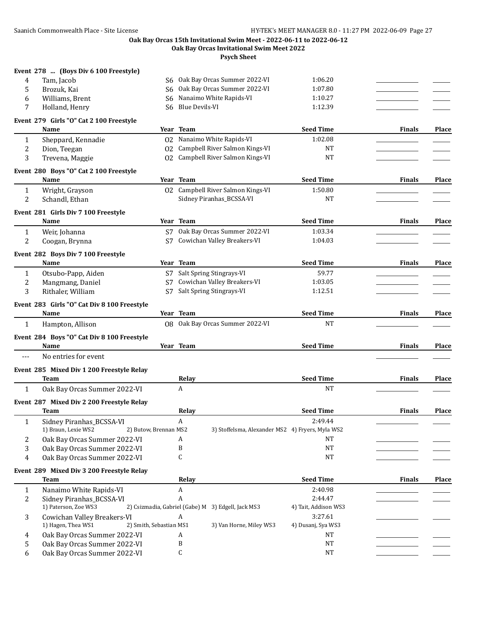#### **Oak Bay Orcas 15th Invitational Swim Meet - 2022-06-11 to 2022-06-12 Oak Bay Orcas Invitational Swim Meet 2022**

|              | Event 278  (Boys Div 6 100 Freestyle)                                    |                |                                                       |                      |               |              |
|--------------|--------------------------------------------------------------------------|----------------|-------------------------------------------------------|----------------------|---------------|--------------|
| 4            | Tam, Jacob                                                               |                | S6 Oak Bay Orcas Summer 2022-VI                       | 1:06.20              |               |              |
| 5            | Brozuk, Kai                                                              |                | S6 Oak Bay Orcas Summer 2022-VI                       | 1:07.80              |               |              |
| 6            | Williams, Brent                                                          | S6             | Nanaimo White Rapids-VI                               | 1:10.27              |               |              |
| 7            | Holland, Henry                                                           | S <sub>6</sub> | <b>Blue Devils-VI</b>                                 | 1:12.39              |               |              |
|              | Event 279 Girls "O" Cat 2 100 Freestyle                                  |                |                                                       |                      |               |              |
|              | Name                                                                     |                | Year Team                                             | <b>Seed Time</b>     | <b>Finals</b> | <b>Place</b> |
| 1            | Sheppard, Kennadie                                                       |                | 02 Nanaimo White Rapids-VI                            | 1:02.08              |               |              |
| 2            | Dion, Teegan                                                             |                | 02 Campbell River Salmon Kings-VI                     | NT                   |               |              |
| 3            | Trevena, Maggie                                                          |                | 02 Campbell River Salmon Kings-VI                     | <b>NT</b>            |               |              |
|              |                                                                          |                |                                                       |                      |               |              |
|              | Event 280 Boys "O" Cat 2 100 Freestyle<br>Name                           |                | Year Team                                             | <b>Seed Time</b>     | <b>Finals</b> | Place        |
|              |                                                                          |                |                                                       |                      |               |              |
| 1            | Wright, Grayson                                                          |                | 02 Campbell River Salmon Kings-VI                     | 1:50.80              |               |              |
| 2            | Schandl, Ethan                                                           |                | Sidney Piranhas_BCSSA-VI                              | NT                   |               |              |
|              | Event 281 Girls Div 7 100 Freestyle                                      |                |                                                       |                      |               |              |
|              | Name                                                                     |                | Year Team                                             | <b>Seed Time</b>     | <b>Finals</b> | <b>Place</b> |
| 1            | Weir, Johanna                                                            | S7             | Oak Bay Orcas Summer 2022-VI                          | 1:03.34              |               |              |
| 2            | Coogan, Brynna                                                           | S7             | Cowichan Valley Breakers-VI                           | 1:04.03              |               |              |
|              |                                                                          |                |                                                       |                      |               |              |
|              | Event 282 Boys Div 7 100 Freestyle                                       |                |                                                       |                      |               |              |
|              | Name                                                                     |                | Year Team                                             | <b>Seed Time</b>     | <b>Finals</b> | Place        |
| 1            | Otsubo-Papp, Aiden                                                       |                | S7 Salt Spring Stingrays-VI                           | 59.77                |               |              |
| 2            | Mangmang, Daniel                                                         | S7             | Cowichan Valley Breakers-VI                           | 1:03.05              |               |              |
| 3            | Rithaler, William                                                        | S7             | Salt Spring Stingrays-VI                              | 1:12.51              |               |              |
|              | Event 283 Girls "O" Cat Div 8 100 Freestyle                              |                |                                                       |                      |               |              |
|              | Name                                                                     |                | Year Team                                             | <b>Seed Time</b>     | <b>Finals</b> | Place        |
| 1            | Hampton, Allison                                                         |                | 08 Oak Bay Orcas Summer 2022-VI                       | <b>NT</b>            |               |              |
|              |                                                                          |                |                                                       |                      |               |              |
|              | Event 284 Boys "O" Cat Div 8 100 Freestyle<br>Name                       |                | Year Team                                             | <b>Seed Time</b>     | <b>Finals</b> | <b>Place</b> |
|              |                                                                          |                |                                                       |                      |               |              |
| ---          | No entries for event                                                     |                |                                                       |                      |               |              |
|              | Event 285 Mixed Div 1 200 Freestyle Relay                                |                |                                                       |                      |               |              |
|              | <b>Team</b>                                                              |                | Relay                                                 | <b>Seed Time</b>     | <b>Finals</b> | Place        |
| $\mathbf{1}$ | Oak Bay Orcas Summer 2022-VI                                             |                | A                                                     | <b>NT</b>            |               |              |
|              | Event 287 Mixed Div 2 200 Freestyle Relay                                |                |                                                       |                      |               |              |
|              | Team                                                                     |                | Relay                                                 | <b>Seed Time</b>     | <b>Finals</b> | Place        |
|              |                                                                          |                |                                                       | 2:49.44              |               |              |
| 1            | Sidney Piranhas_BCSSA-VI<br>1) Braun, Lexie WS2<br>2) Butow, Brennan MS2 |                | A<br>3) Stoffelsma, Alexander MS2 4) Fryers, Myla WS2 |                      |               |              |
|              | Oak Bay Orcas Summer 2022-VI                                             |                | A                                                     | <b>NT</b>            |               |              |
| 2            | Oak Bay Orcas Summer 2022-VI                                             |                | B                                                     | NT                   |               |              |
| 3<br>4       | Oak Bay Orcas Summer 2022-VI                                             |                | C                                                     | <b>NT</b>            |               |              |
|              |                                                                          |                |                                                       |                      |               |              |
|              | Event 289 Mixed Div 3 200 Freestyle Relay                                |                |                                                       |                      |               |              |
|              | <b>Team</b>                                                              |                | Relay                                                 | <b>Seed Time</b>     | <b>Finals</b> | <b>Place</b> |
| 1            | Nanaimo White Rapids-VI                                                  |                | A                                                     | 2:40.98              |               |              |
| 2            | Sidney Piranhas_BCSSA-VI                                                 |                | A                                                     | 2:44.47              |               |              |
|              | 1) Paterson, Zoe WS3                                                     |                | 2) Csizmadia, Gabriel (Gabe) M 3) Edgell, Jack MS3    | 4) Tait, Addison WS3 |               |              |
| 3            | Cowichan Valley Breakers-VI                                              |                | A                                                     | 3:27.61              |               |              |
|              | 2) Smith, Sebastian MS1<br>1) Hagen, Thea WS1                            |                | 3) Van Horne, Miley WS3                               | 4) Dusanj, Sya WS3   |               |              |
| 4            | Oak Bay Orcas Summer 2022-VI                                             |                | A                                                     | NT                   |               |              |
| 5            | Oak Bay Orcas Summer 2022-VI                                             |                | B                                                     | NT                   |               |              |
| 6            | Oak Bay Orcas Summer 2022-VI                                             |                | C                                                     | NT                   |               |              |